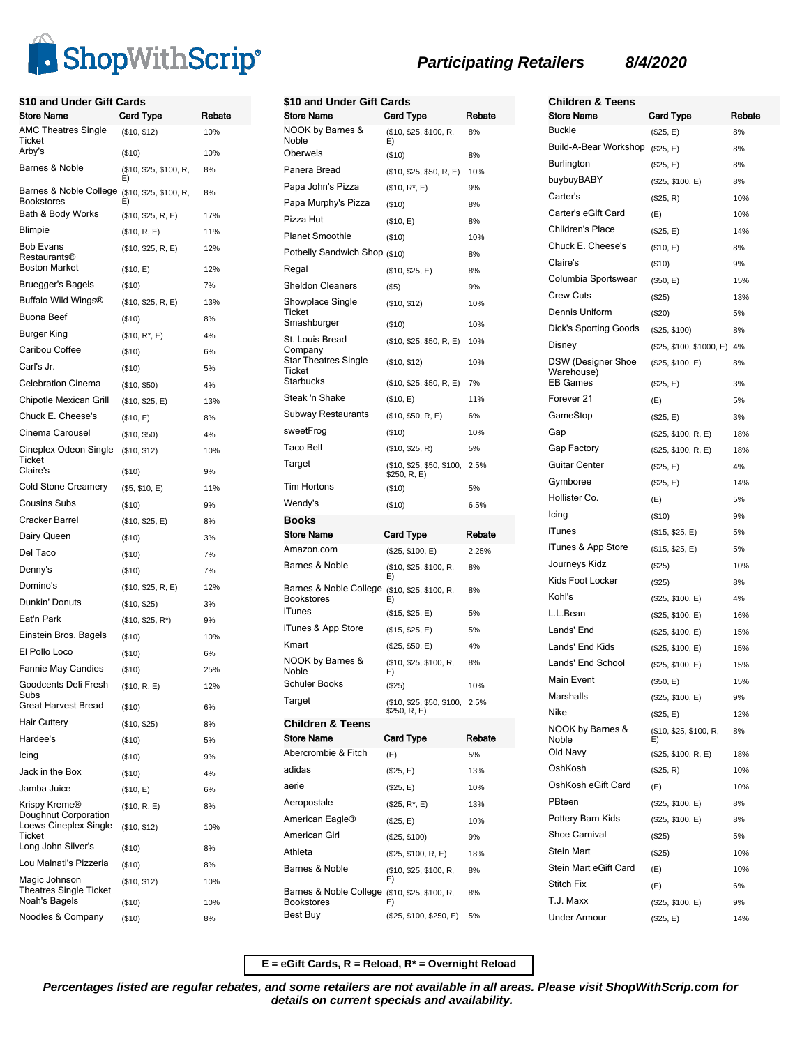

| \$10 and Under Gift Cards<br>Store Name                        | <b>Card Type</b>                | Rebate     |
|----------------------------------------------------------------|---------------------------------|------------|
| <b>AMC Theatres Single</b>                                     | (\$10, \$12)                    | 10%        |
| Ticket<br>Arby's                                               | $($ \$10)                       | 10%        |
| Barnes & Noble                                                 | (\$10, \$25, \$100, R,<br>E)    | 8%         |
| Barnes & Noble College<br>Bookstores                           | (\$10, \$25, \$100, R,<br>E)    | 8%         |
| Bath & Body Works                                              | (\$10, \$25, R, E)              | 17%        |
| Blimpie                                                        | (\$10, R, E)                    | 11%        |
| <b>Bob Evans</b><br>Restaurants®<br><b>Boston Market</b>       | (\$10, \$25, R, E)<br>(\$10, E) | 12%<br>12% |
| Bruegger's Bagels                                              | ( \$10)                         | 7%         |
| Buffalo Wild Wings®                                            | (\$10, \$25, R, E)              | 13%        |
| Buona Beef                                                     | ( \$10)                         | 8%         |
| Burger King                                                    | $($10, R^*, E)$                 | 4%         |
| Caribou Coffee                                                 | $($ \$10)                       | 6%         |
| Carl's Jr.                                                     | ( \$10)                         | 5%         |
| <b>Celebration Cinema</b>                                      | (\$10, \$50)                    | 4%         |
| Chipotle Mexican Grill                                         | (\$10, \$25, E)                 | 13%        |
| Chuck E. Cheese's                                              | (\$10, E)                       | 8%         |
| Cinema Carousel                                                | (\$10, \$50)                    | 4%         |
| Cineplex Odeon Single<br>Ticket                                | (\$10, \$12)                    | 10%        |
| Claire's                                                       | ( \$10)                         | 9%         |
| Cold Stone Creamery                                            | (\$5, \$10, E)                  | 11%        |
| Cousins Subs                                                   | $($ \$10)                       | 9%         |
| Cracker Barrel                                                 | (\$10, \$25, E)                 | 8%         |
| Dairy Queen                                                    | $($ \$10)                       | 3%         |
| Del Taco                                                       | $($ \$10)                       | 7%         |
| Denny's                                                        | $($ \$10)                       | 7%         |
| Domino's                                                       | (\$10, \$25, R, E)              | 12%        |
| Dunkin' Donuts                                                 | (\$10, \$25)                    | 3%         |
| Eat'n Park                                                     | $($10, $25, R^*)$               | 9%         |
| Einstein Bros. Bagels                                          | $($ \$10)                       | 10%        |
| El Pollo Loco                                                  | ( \$10)                         | 6%         |
| <b>Fannie May Candies</b>                                      | ( \$10)                         | 25%        |
| Goodcents Deli Fresh<br>Subs                                   | (\$10, R, E)                    | 12%        |
| <b>Great Harvest Bread</b>                                     | (\$10)                          | 6%         |
| Hair Cuttery                                                   | (\$10, \$25)                    | 8%         |
| Hardee's                                                       | $($ \$10)                       | 5%         |
| Icing                                                          | (\$10)                          | 9%         |
| Jack in the Box                                                | $($ \$10)                       | 4%         |
| Jamba Juice                                                    | (\$10, E)                       | 6%         |
| Krispy Kreme®<br>Doughnut Corporation<br>Loews Cineplex Single | (\$10, R, E)<br>(\$10, \$12)    | 8%<br>10%  |
| Ticket<br>Long John Silver's                                   |                                 |            |
| Lou Malnati's Pizzeria                                         | ( \$10)                         | 8%         |
| Magic Johnson                                                  | ( \$10)                         | 8%         |
| Theatres Single Ticket<br>Noah's Bagels                        | (\$10, \$12)<br>$($ \$10)       | 10%<br>10% |
| Noodles & Company                                              | $($ \$10)                       | 8%         |
|                                                                |                                 |            |

| \$10 and Under Gift Cards                                                      |                                                |            |  |
|--------------------------------------------------------------------------------|------------------------------------------------|------------|--|
| <b>Store Name</b>                                                              | <b>Card Type</b>                               | Rebate     |  |
| NOOK by Barnes &<br>Noble                                                      | (\$10, \$25, \$100, R,<br>E)                   | 8%         |  |
| Oberweis                                                                       | (\$10)                                         | 8%         |  |
| Panera Bread                                                                   | (\$10, \$25, \$50, R, E)                       | 10%        |  |
| Papa John's Pizza                                                              | $($10, R^*, E)$                                | 9%         |  |
| Papa Murphy's Pizza                                                            | (\$10)                                         | 8%         |  |
| Pizza Hut                                                                      | (\$10, E)                                      | 8%         |  |
| <b>Planet Smoothie</b>                                                         | (\$10)                                         | 10%        |  |
| Potbelly Sandwich Shop (\$10)                                                  |                                                | 8%         |  |
| Regal                                                                          | (\$10, \$25, E)                                | 8%         |  |
| <b>Sheldon Cleaners</b>                                                        | (S5)                                           | 9%         |  |
| Showplace Single<br>Ticket                                                     | (\$10, \$12)                                   | 10%        |  |
| Smashburger                                                                    | $($ \$10)                                      | 10%        |  |
| St. Louis Bread<br>Company<br><b>Star Theatres Single</b>                      | (\$10, \$25, \$50, R, E)<br>(\$10, \$12)       | 10%<br>10% |  |
| Ticket                                                                         |                                                |            |  |
| Starbucks                                                                      | (\$10, \$25, \$50, R, E)                       | 7%         |  |
| Steak 'n Shake                                                                 | (\$10, E)                                      | 11%        |  |
| Subway Restaurants                                                             | (\$10, \$50, R, E)                             | 6%         |  |
| sweetFrog                                                                      | (\$10)                                         | 10%        |  |
| Taco Bell                                                                      | (\$10, \$25, R)                                | 5%         |  |
| Target                                                                         | (\$10, \$25, \$50, \$100,<br>\$250, R, E)      | 2.5%       |  |
| Tim Hortons                                                                    | (\$10)                                         | 5%         |  |
| Wendy's                                                                        | $($ \$10)                                      | 6.5%       |  |
| Books                                                                          |                                                |            |  |
| <b>Store Name</b>                                                              | Card Type                                      | Rebate     |  |
| Amazon.com                                                                     | (\$25, \$100, E)                               | 2.25%      |  |
| Barnes & Noble                                                                 | (\$10, \$25, \$100, R,<br>E)                   | 8%         |  |
| Barnes & Noble College (\$10, \$25, \$100, R,<br><b>Bookstores</b>             | E)                                             | 8%         |  |
| iTunes                                                                         | (\$15, \$25, E)                                | 5%         |  |
| iTunes & App Store                                                             | (\$15, \$25, E)                                | 5%         |  |
| Kmart                                                                          | (\$25, \$50, E)                                | 4%         |  |
| NOOK by Barnes &<br>Noble                                                      | (\$10, \$25, \$100, R,<br>E)                   | 8%         |  |
| <b>Schuler Books</b>                                                           | (\$25)                                         | 10%        |  |
| Target                                                                         | (\$10, \$25, \$50, \$100, 2.5%<br>\$250, R, E) |            |  |
| <b>Children &amp; Teens</b>                                                    |                                                |            |  |
| <b>Store Name</b>                                                              | Card Type                                      | Rebate     |  |
| Abercrombie & Fitch                                                            | (E)                                            | 5%         |  |
| adidas                                                                         | (\$25, E)                                      | 13%        |  |
| aerie                                                                          | (\$25, E)                                      | 10%        |  |
| Aeropostale                                                                    | $($25, R^*, E)$                                | 13%        |  |
| American Eagle <sup>®</sup>                                                    | (\$25, E)                                      | 10%        |  |
| American Girl                                                                  | (\$25, \$100)                                  | 9%         |  |
| Athleta                                                                        | (\$25, \$100, R, E)                            | 18%        |  |
| Barnes & Noble                                                                 | (\$10, \$25, \$100, R,<br>E)                   | 8%         |  |
| Barnes & Noble College (\$10, \$25, \$100, R,<br><b>Bookstores</b><br>Best Buy | E)<br>(\$25, \$100, \$250, E)                  | 8%<br>5%   |  |

**Children & Teens Participating Retailers 8/4/2020**

| <b>Children &amp; Teens</b>             |                              |        |
|-----------------------------------------|------------------------------|--------|
| Store Name                              | Card Type                    | Rebate |
| <b>Buckle</b>                           | (\$25, E)                    | 8%     |
| Build-A-Bear Workshop                   | (\$25, E)                    | 8%     |
| Burlington                              | (\$25, E)                    | 8%     |
| buybuyBABY                              | (\$25, \$100, E)             | 8%     |
| Carter's                                | (\$25, R)                    | 10%    |
| Carter's eGift Card                     | (E)                          | 10%    |
| Children's Place                        | (\$25, E)                    | 14%    |
| Chuck E. Cheese's                       | (\$10, E)                    | 8%     |
| Claire's                                | (\$10)                       | 9%     |
| Columbia Sportswear                     | (\$50, E)                    | 15%    |
| <b>Crew Cuts</b>                        | (\$25)                       | 13%    |
| Dennis Uniform                          | (\$20)                       | 5%     |
| Dick's Sporting Goods                   | (\$25, \$100)                | 8%     |
| Disney                                  | (\$25, \$100, \$1000, E)     | 4%     |
| <b>DSW (Designer Shoe</b><br>Warehouse) | (\$25, \$100, E)             | 8%     |
| <b>EB Games</b>                         | (\$25, E)                    | 3%     |
| Forever <sub>21</sub>                   | (E)                          | 5%     |
| GameStop                                | (\$25, E)                    | 3%     |
| Gap                                     | (\$25, \$100, R, E)          | 18%    |
| Gap Factory                             | (\$25, \$100, R, E)          | 18%    |
| <b>Guitar Center</b>                    | (\$25, E)                    | 4%     |
| Gymboree                                | (\$25, E)                    | 14%    |
| Hollister Co.                           | (E)                          | 5%     |
| Icing                                   | (\$10)                       | 9%     |
| iTunes                                  | (\$15, \$25, E)              | 5%     |
| iTunes & App Store                      | (\$15, \$25, E)              | 5%     |
| Journeys Kidz                           | (\$25)                       | 10%    |
| Kids Foot Locker                        | (\$25)                       | 8%     |
| Kohl's                                  | (\$25, \$100, E)             | 4%     |
| L.L.Bean                                | (\$25, \$100, E)             | 16%    |
| Lands' End                              | (\$25, \$100, E)             | 15%    |
| Lands' End Kids                         | (\$25, \$100, E)             | 15%    |
| Lands' End School                       | (\$25, \$100, E)             | 15%    |
| <b>Main Event</b>                       | (\$50, E)                    | 15%    |
| Marshalls                               | (\$25, \$100, E)             | 9%     |
| Nike                                    | (\$25, E)                    | 12%    |
| NOOK by Barnes &<br>Noble               | (\$10, \$25, \$100, R,<br>E) | 8%     |
| Old Navy                                | (\$25, \$100, R, E)          | 18%    |
| OshKosh                                 | (\$25, R)                    | 10%    |
| OshKosh eGift Card                      | (E)                          | 10%    |
| PBteen                                  | (\$25, \$100, E)             | 8%     |
| Pottery Barn Kids                       | (\$25, \$100, E)             | 8%     |
| <b>Shoe Carnival</b>                    | (\$25)                       | 5%     |
| Stein Mart                              | (\$25)                       | 10%    |
| Stein Mart eGift Card                   | (E)                          | 10%    |
| <b>Stitch Fix</b>                       | (E)                          | 6%     |
| T.J. Maxx                               | (\$25, \$100, E)             | 9%     |
| Under Armour                            | $(\$25, E)$                  | 14%    |

**E = eGift Cards, R = Reload, R\* = Overnight Reload**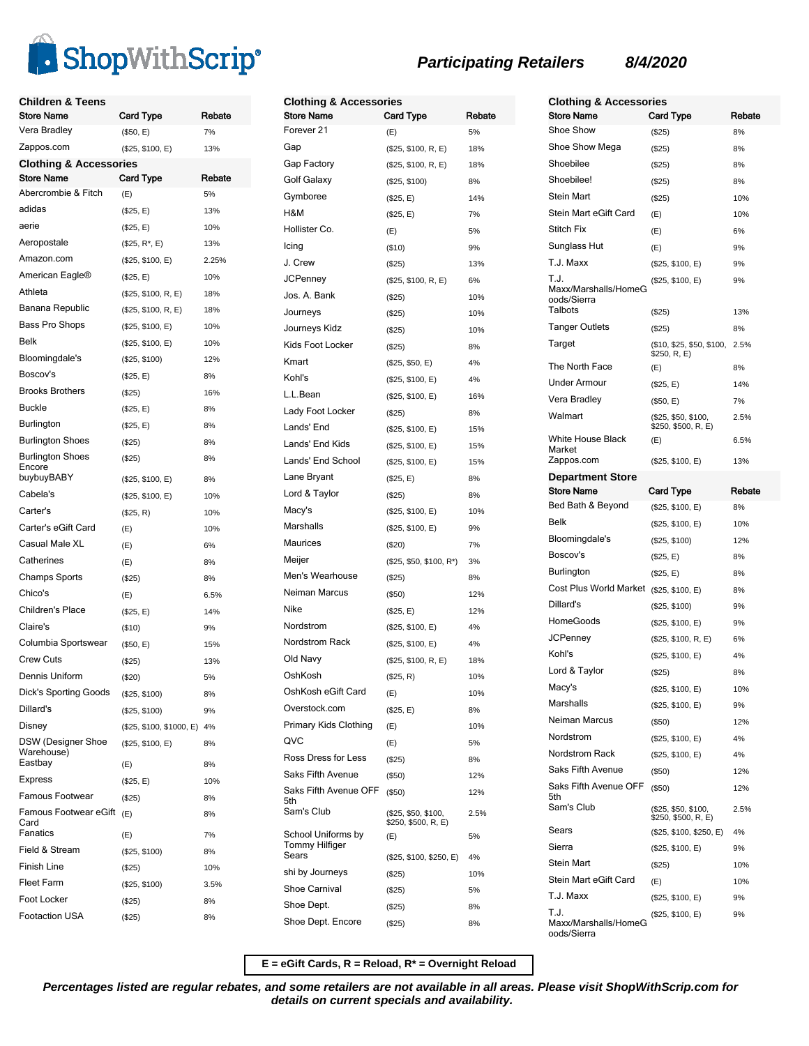

| Children & Teens<br>Store Name    |                               | Rebate    |
|-----------------------------------|-------------------------------|-----------|
| Vera Bradley                      | Card Type                     | 7%        |
| Zappos.com                        | (\$50, E)                     |           |
| <b>Clothing &amp; Accessories</b> | (\$25, \$100, E)              | 13%       |
| <b>Store Name</b>                 | <b>Card Type</b>              | Rebate    |
| Abercrombie & Fitch               | (E)                           | 5%        |
| adidas                            | (\$25, E)                     | 13%       |
| aerie                             | (\$25, E)                     | 10%       |
| Aeropostale                       | $($25, R^*, E)$               | 13%       |
| Amazon.com                        | (\$25, \$100, E)              | 2.25%     |
| American Eagle®                   | (\$25, E)                     | 10%       |
| Athleta                           | (\$25, \$100, R, E)           | 18%       |
| Banana Republic                   | (\$25, \$100, R, E)           | 18%       |
| Bass Pro Shops                    | (\$25, \$100, E)              | 10%       |
| Belk                              | (\$25, \$100, E)              | 10%       |
| Bloomingdale's                    | (\$25, \$100)                 | 12%       |
| Boscov's                          | (\$25, E)                     | 8%        |
| <b>Brooks Brothers</b>            | (\$25)                        | 16%       |
| <b>Buckle</b>                     | (\$25, E)                     | 8%        |
| Burlington                        | (\$25, E)                     | 8%        |
| Burlington Shoes                  | (\$25)                        | 8%        |
| <b>Burlington Shoes</b>           | (\$25)                        | 8%        |
| Encore<br>buybuyBABY              |                               |           |
| Cabela's                          | (\$25, \$100, E)              | 8%<br>10% |
| Carter's                          | (\$25, \$100, E)<br>(\$25, R) | 10%       |
| Carter's eGift Card               | (E)                           | 10%       |
| Casual Male XL                    | (E)                           | 6%        |
| Catherines                        | (E)                           | 8%        |
| Champs Sports                     | (\$25)                        | 8%        |
| Chico's                           | (E)                           | 6.5%      |
| Children's Place                  | (\$25, E)                     | 14%       |
| Claire's                          | ( \$10)                       | 9%        |
| Columbia Sportswear               | (\$50, E)                     | 15%       |
| <b>Crew Cuts</b>                  | (\$25)                        | 13%       |
| Dennis Uniform                    | (\$20)                        | 5%        |
| Dick's Sporting Goods             | (\$25, \$100)                 | 8%        |
| Dillard's                         | (\$25, \$100)                 | 9%        |
| Disney                            | (\$25, \$100, \$1000, E)      | 4%        |
| DSW (Designer Shoe                | (\$25, \$100, E)              | 8%        |
| Warehouse)<br>Eastbay             | (E)                           | 8%        |
| Express                           | (\$25, E)                     | 10%       |
| Famous Footwear                   | $($ \$25)                     | 8%        |
| Famous Footwear eGift             | (E)                           | 8%        |
| Card                              |                               |           |
| Fanatics                          | (E)                           | 7%        |
| Field & Stream                    | (\$25, \$100)                 | 8%        |
| Finish Line                       | $(\$25)$                      | 10%       |
| Fleet Farm<br>Foot Locker         | (\$25, \$100)                 | 3.5%      |
| <b>Footaction USA</b>             | (\$25)                        | 8%        |
|                                   | (\$25)                        | 8%        |

| <b>Clothing &amp; Accessories</b><br><b>Store Name</b> | Card Type                                  | Rebate |
|--------------------------------------------------------|--------------------------------------------|--------|
| Forever 21                                             | (E)                                        | 5%     |
| Gap                                                    | (\$25, \$100, R, E)                        | 18%    |
| Gap Factory                                            | (\$25, \$100, R, E)                        | 18%    |
| Golf Galaxy                                            | (\$25, \$100)                              | 8%     |
| Gymboree                                               | (\$25, E)                                  | 14%    |
| H&M                                                    | (\$25, E)                                  | 7%     |
| Hollister Co.                                          | (E)                                        | 5%     |
| Icing                                                  | (\$10)                                     | 9%     |
| J. Crew                                                | (\$25)                                     | 13%    |
| <b>JCPenney</b>                                        | (\$25, \$100, R, E)                        | 6%     |
| Jos. A. Bank                                           | (\$25)                                     | 10%    |
| Journeys                                               | (\$25)                                     | 10%    |
| Journeys Kidz                                          | (\$25)                                     | 10%    |
| Kids Foot Locker                                       | (\$25)                                     | 8%     |
| Kmart                                                  | (\$25, \$50, E)                            | 4%     |
| Kohl's                                                 | (\$25, \$100, E)                           | 4%     |
| L.L.Bean                                               | (\$25, \$100, E)                           | 16%    |
| Lady Foot Locker                                       | (\$25)                                     | 8%     |
| Lands' End                                             | (\$25, \$100, E)                           | 15%    |
| Lands' End Kids                                        | (\$25, \$100, E)                           | 15%    |
| Lands' End School                                      | (\$25, \$100, E)                           | 15%    |
| Lane Bryant                                            | (\$25, E)                                  | 8%     |
| Lord & Taylor                                          | (\$25)                                     | 8%     |
| Macy's                                                 | (\$25, \$100, E)                           | 10%    |
| Marshalls                                              | (\$25, \$100, E)                           | 9%     |
| Maurices                                               | (\$20)                                     | 7%     |
| Meijer                                                 | (\$25, \$50, \$100, R*)                    | 3%     |
| Men's Wearhouse                                        | (\$25)                                     | 8%     |
| Neiman Marcus                                          | (\$50)                                     | 12%    |
| Nike                                                   | (\$25, E)                                  | 12%    |
| Nordstrom                                              | (\$25, \$100, E)                           | 4%     |
| Nordstrom Rack                                         | (\$25, \$100, E)                           | 4%     |
| Old Navy                                               | (\$25, \$100, R, E)                        | 18%    |
| OshKosh                                                | (\$25, R)                                  | 10%    |
| OshKosh eGift Card                                     | (E)                                        | 10%    |
| Overstock.com                                          | (\$25, E)                                  | 8%     |
| Primary Kids Clothing                                  | (E)                                        | 10%    |
| QVC                                                    | (E)                                        | 5%     |
| Ross Dress for Less                                    | (\$25)                                     | 8%     |
| Saks Fifth Avenue                                      | (\$50)                                     | 12%    |
| Saks Fifth Avenue OFF                                  | (\$50)                                     | 12%    |
| 5th<br>Sam's Club                                      | (\$25, \$50, \$100,<br>\$250, \$500, R, E) | 2.5%   |
| School Uniforms by<br>Tommy Hilfiger                   | (E)                                        | 5%     |
| Sears                                                  | (\$25, \$100, \$250, E)                    | 4%     |
| shi by Journeys                                        | $(\$25)$                                   | 10%    |
| Shoe Carnival                                          | $(\$25)$                                   | 5%     |
| Shoe Dept.                                             | (\$25)                                     | 8%     |
| Shoe Dept. Encore                                      | (\$25)                                     | 8%     |

| <b>Clothing &amp; Accessories</b>              |                                            |        |
|------------------------------------------------|--------------------------------------------|--------|
| <b>Store Name</b>                              | Card Type                                  | Rebate |
| Shoe Show                                      | (\$25)                                     | 8%     |
| Shoe Show Mega                                 | (\$25)                                     | 8%     |
| Shoebilee                                      | (\$25)                                     | 8%     |
| Shoebilee!                                     | (\$25)                                     | 8%     |
| <b>Stein Mart</b>                              | (\$25)                                     | 10%    |
| Stein Mart eGift Card                          | (E)                                        | 10%    |
| <b>Stitch Fix</b>                              | (E)                                        | 6%     |
| Sunglass Hut                                   | (E)                                        | 9%     |
| T.J. Maxx                                      | (\$25, \$100, E)                           | 9%     |
| T.J.                                           | (\$25, \$100, E)                           | 9%     |
| Maxx/Marshalls/HomeG<br>oods/Sierra<br>Talbots |                                            |        |
| <b>Tanger Outlets</b>                          | (\$25)                                     | 13%    |
| Target                                         | (\$25)                                     | 8%     |
|                                                | (\$10, \$25, \$50, \$100,<br>\$250, R, E)  | 2.5%   |
| The North Face                                 | (E)                                        | 8%     |
| Under Armour                                   | (\$25, E)                                  | 14%    |
| Vera Bradley                                   | (\$50, E)                                  | 7%     |
| Walmart                                        | (\$25, \$50, \$100,<br>\$250, \$500, R, E) | 2.5%   |
| White House Black<br>Market                    | (E)                                        | 6.5%   |
| Zappos.com                                     | (\$25, \$100, E)                           | 13%    |
| <b>Department Store</b><br><b>Store Name</b>   | Card Type                                  | Rebate |
| Bed Bath & Beyond                              | (\$25, \$100, E)                           | 8%     |
|                                                |                                            |        |
| Belk                                           |                                            |        |
|                                                | (\$25, \$100, E)                           | 10%    |
| Bloomingdale's                                 | (\$25, \$100)                              | 12%    |
| Boscov's                                       | (\$25, E)                                  | 8%     |
| Burlington                                     | (\$25, E)                                  | 8%     |
| Cost Plus World Market                         | (\$25, \$100, E)                           | 8%     |
| Dillard's<br>HomeGoods                         | (\$25, \$100)                              | 9%     |
|                                                | (\$25, \$100, E)                           | 9%     |
| JCPenney<br>Kohl's                             | (\$25, \$100, R, E)                        | 6%     |
|                                                | (\$25, \$100, E)                           | 4%     |
| Lord & Taylor                                  | (\$25)                                     | 8%     |
| Macy's                                         | (\$25, \$100, E)                           | 10%    |
| Marshalls<br>Neiman Marcus                     | (\$25, \$100, E)                           | 9%     |
| Nordstrom                                      | (\$50)                                     | 12%    |
| <b>Nordstrom Rack</b>                          | (\$25, \$100, E)                           | 4%     |
| <b>Saks Fifth Avenue</b>                       | (\$25, \$100, E)                           | 4%     |
|                                                | (\$50)                                     | 12%    |
| Saks Fifth Avenue OFF<br>5th                   | (\$50)                                     | 12%    |
| Sam's Club                                     | (\$25, \$50, \$100,<br>\$250, \$500, R, E) | 2.5%   |
| Sears                                          | (\$25, \$100, \$250, E)                    | 4%     |
| Sierra                                         | (\$25, \$100, E)                           | 9%     |
| Stein Mart                                     | (\$25)                                     | 10%    |
| Stein Mart eGift Card                          | (E)                                        | 10%    |
| T.J. Maxx                                      | (\$25, \$100, E)                           | 9%     |

**E = eGift Cards, R = Reload, R\* = Overnight Reload**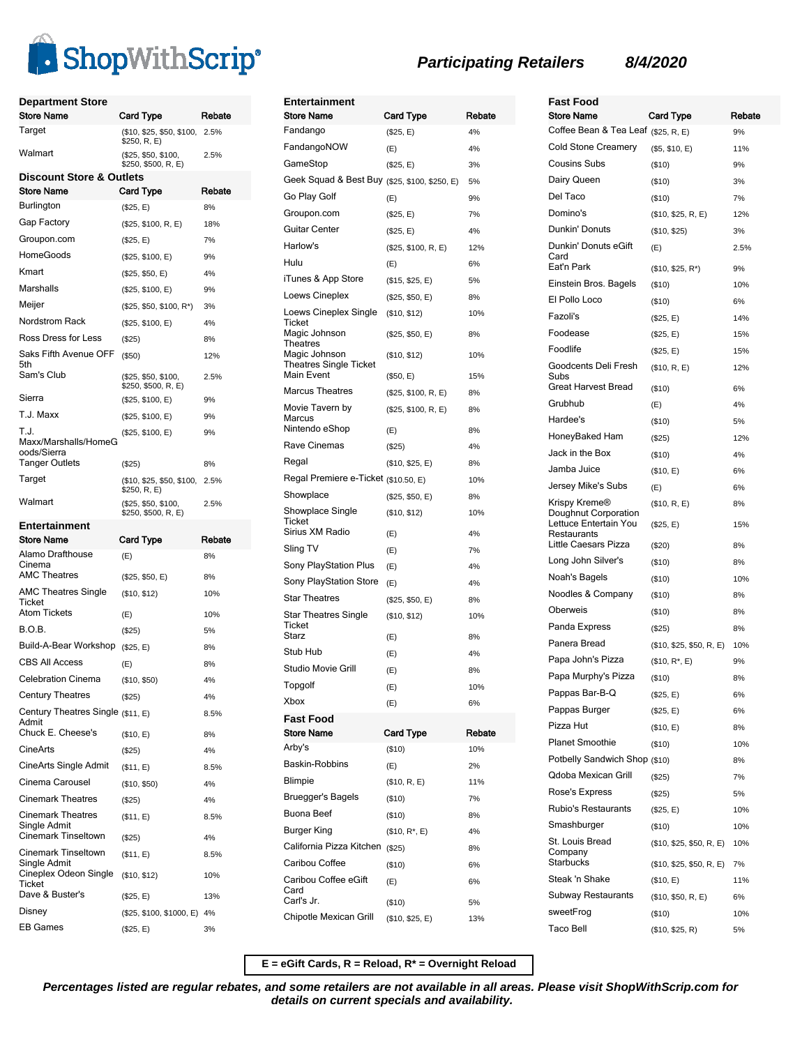

| <b>Department Store</b><br>Store Name                        | Card Type                                  | Rebate     |
|--------------------------------------------------------------|--------------------------------------------|------------|
| Target                                                       | (\$10, \$25, \$50, \$100,<br>\$250, R, E)  | 2.5%       |
| Walmart                                                      | (\$25, \$50, \$100,<br>\$250, \$500, R, E) | 2.5%       |
| Discount Store & Outlets                                     |                                            |            |
| Store Name                                                   | Card Type                                  | Rebate     |
| Burlington                                                   | (\$25, E)                                  | 8%         |
| Gap Factory                                                  | (\$25, \$100, R, E)                        | 18%        |
| Groupon.com                                                  | (\$25, E)                                  | 7%         |
| HomeGoods                                                    | (\$25, \$100, E)                           | 9%         |
| Kmart                                                        | (\$25, \$50, E)                            | 4%         |
| Marshalls                                                    | (\$25, \$100, E)                           | 9%         |
| Meijer                                                       | (\$25, \$50, \$100, R*)                    | 3%         |
| Nordstrom Rack                                               | (\$25, \$100, E)                           | 4%         |
| Ross Dress for Less                                          | $($ \$25)                                  | 8%         |
| Saks Fifth Avenue OFF<br>5th                                 | $($ \$50)                                  | 12%        |
| Sam's Club                                                   | (\$25, \$50, \$100,<br>\$250, \$500, R, E) | 2.5%       |
| Sierra                                                       | (\$25, \$100, E)                           | 9%         |
| T.J. Maxx                                                    | (\$25, \$100, E)                           | 9%         |
| T.J.<br>Maxx/Marshalls/HomeG<br>oods/Sierra                  | (\$25, \$100, E)                           | 9%         |
| <b>Tanger Outlets</b>                                        | $(\$25)$                                   | 8%         |
| Target                                                       | (\$10, \$25, \$50, \$100,<br>\$250, R, E)  | 2.5%       |
| Walmart                                                      | (\$25, \$50, \$100,<br>\$250, \$500, R, E) | 2.5%       |
|                                                              |                                            |            |
| Entertainment                                                |                                            |            |
| Store Name                                                   | Card Type                                  | Rebate     |
| Alamo Drafthouse<br>Cinema                                   | (E)                                        | 8%         |
| AMC Theatres                                                 | (\$25, \$50, E)                            | 8%         |
| <b>AMC Theatres Single</b><br>Ticket                         | (\$10, \$12)                               | 10%        |
| Atom Tickets                                                 | (E)                                        | 10%        |
| B.O.B.                                                       | $(\$25)$                                   | 5%         |
| Build-A-Bear Workshop                                        | (\$25, E)                                  | 8%         |
| <b>CBS All Access</b>                                        | (E)                                        | 8%         |
| Celebration Cinema                                           | (\$10, \$50)                               | 4%         |
| <b>Century Theatres</b>                                      | (\$25)                                     | 4%         |
| Century Theatres Single (\$11, E)<br>Admit                   |                                            | 8.5%       |
| Chuck E. Cheese's                                            | (\$10, E)                                  | 8%         |
| CineArts                                                     | (\$25)                                     | 4%         |
| CineArts Single Admit                                        | (\$11, E)                                  | 8.5%       |
| Cinema Carousel                                              | (\$10, \$50)                               | 4%         |
| <b>Cinemark Theatres</b>                                     | $($ \$25)                                  | 4%         |
| Cinemark Theatres<br>Single Admit                            | (\$11, E)                                  | 8.5%       |
| Cinemark Tinseltown                                          | $(\$25)$                                   | 4%         |
| Cinemark Tinseltown<br>Single Admit<br>Cineplex Odeon Single | (\$11, E)                                  | 8.5%       |
| Ticket<br>Dave & Buster's                                    | (\$10, \$12)<br>(\$25, E)                  | 10%<br>13% |
| Disney                                                       | (\$25, \$100, \$1000, E) 4%                |            |

| Entertainment                                  |                     |        |
|------------------------------------------------|---------------------|--------|
| <b>Store Name</b>                              | Card Type           | Rebate |
| Fandango                                       | (\$25, E)           | 4%     |
| FandangoNOW                                    | (E)                 | 4%     |
| GameStop                                       | (\$25, E)           | 3%     |
| Geek Squad & Best Buy (\$25, \$100, \$250, E)  |                     | 5%     |
| Go Play Golf                                   | (E)                 | 9%     |
| Groupon.com                                    | (\$25, E)           | 7%     |
| Guitar Center                                  | (\$25, E)           | 4%     |
| Harlow's                                       | (\$25, \$100, R, E) | 12%    |
| Hulu                                           | (E)                 | 6%     |
| iTunes & App Store                             | (\$15, \$25, E)     | 5%     |
| Loews Cineplex                                 | (\$25, \$50, E)     | 8%     |
| Loews Cineplex Single<br>Ticket                | (\$10, \$12)        | 10%    |
| Magic Johnson<br>Theatres                      | (\$25, \$50, E)     | 8%     |
| Magic Johnson<br><b>Theatres Single Ticket</b> | (\$10, \$12)        | 10%    |
| Main Event                                     | (\$50, E)           | 15%    |
| <b>Marcus Theatres</b>                         | (\$25, \$100, R, E) | 8%     |
| Movie Tavern by<br>Marcus                      | (\$25, \$100, R, E) | 8%     |
| Nintendo eShop                                 | (E)                 | 8%     |
| Rave Cinemas                                   | (\$25)              | 4%     |
| Regal                                          | (\$10, \$25, E)     | 8%     |
| Regal Premiere e-Ticket (\$10.50, E)           |                     | 10%    |
| Showplace                                      | (\$25, \$50, E)     | 8%     |
| Showplace Single<br>Ticket                     | (\$10, \$12)        | 10%    |
| Sirius XM Radio                                | (E)                 | 4%     |
| Sling TV                                       | (E)                 | 7%     |
| Sony PlayStation Plus                          | (E)                 | 4%     |
| Sony PlayStation Store                         | (E)                 | 4%     |
| <b>Star Theatres</b>                           | (\$25, \$50, E)     | 8%     |
| <b>Star Theatres Single</b><br>Ticket          | (\$10, \$12)        | 10%    |
| Starz                                          | (E)                 | 8%     |
| Stub Hub                                       | (E)                 | 4%     |
| Studio Movie Grill                             | (E)                 | 8%     |
| Topgolf                                        | (E)                 | 10%    |
| Xbox                                           | (E)                 | 6%     |
| Fast Food<br><b>Store Name</b>                 | <b>Card Type</b>    | Rebate |
| Arby's                                         | (\$10)              | 10%    |
| Baskin-Robbins                                 | (E)                 | 2%     |
| Blimpie                                        | (\$10, R, E)        | 11%    |
| <b>Bruegger's Bagels</b>                       | (\$10)              | 7%     |
| Buona Beef                                     | (\$10)              | 8%     |
| Burger King                                    | $($10, R^*, E)$     | 4%     |
| California Pizza Kitchen                       | (\$25)              | 8%     |
| Caribou Coffee                                 | (\$10)              | 6%     |
| Caribou Coffee eGift                           | (E)                 | 6%     |
| Card<br>Carl's Jr.                             | (\$10)              | 5%     |
| Chipotle Mexican Grill                         | (\$10, \$25, E)     | 13%    |
|                                                |                     |        |

| Fast Food<br><b>Store Name</b>                                                | Card Type                 | Rebate    |
|-------------------------------------------------------------------------------|---------------------------|-----------|
| Coffee Bean & Tea Leaf (\$25, R, E)                                           |                           | 9%        |
| <b>Cold Stone Creamery</b>                                                    | (\$5, \$10, E)            | 11%       |
| Cousins Subs                                                                  | (\$10)                    | 9%        |
| Dairy Queen                                                                   | (\$10)                    | 3%        |
| Del Taco                                                                      | $($ \$10)                 | 7%        |
| Domino's                                                                      | (\$10, \$25, R, E)        | 12%       |
| Dunkin' Donuts                                                                | (\$10, \$25)              | 3%        |
| Dunkin' Donuts eGift<br>Card                                                  | (E)                       | 2.5%      |
| Eat'n Park                                                                    | $($10, $25, R^*)$         | 9%        |
| Einstein Bros. Bagels                                                         | (\$10)                    | 10%       |
| El Pollo Loco                                                                 | (\$10)                    | 6%        |
| Fazoli's                                                                      | (\$25, E)                 | 14%       |
| Foodease                                                                      | (\$25, E)                 | 15%       |
| Foodlife                                                                      | (\$25, E)                 | 15%       |
| Goodcents Deli Fresh<br>Subs<br>Great Harvest Bread                           | (\$10, R, E)              | 12%<br>6% |
| Grubhub                                                                       | (\$10)                    |           |
| Hardee's                                                                      | (E)                       | 4%        |
| HoneyBaked Ham                                                                | (\$10)                    | 5%<br>12% |
| Jack in the Box                                                               | (\$25)                    |           |
| Jamba Juice                                                                   | (\$10)                    | 4%        |
|                                                                               | (\$10, E)                 | 6%        |
| Jersey Mike's Subs                                                            | (E)                       | 6%        |
| Krispy Kreme®<br>Doughnut Corporation<br>Lettuce Entertain You<br>Restaurants | (\$10, R, E)<br>(\$25, E) | 8%<br>15% |
| Little Caesars Pizza                                                          | $(\$20)$                  | 8%        |
| Long John Silver's                                                            | $($ \$10)                 | 8%        |
| Noah's Bagels                                                                 | (\$10)                    | 10%       |
| Noodles & Company                                                             | (\$10)                    | 8%        |
| Oberweis                                                                      | (\$10)                    | 8%        |
| Panda Express                                                                 | (\$25)                    | 8%        |
| Panera Bread                                                                  | (\$10, \$25, \$50, R, E)  | 10%       |
| Papa John's Pizza                                                             | $($10, R^*, E)$           | 9%        |
| Papa Murphy's Pizza                                                           | (\$10)                    | 8%        |
| Pappas Bar-B-Q                                                                | (\$25, E)                 | 6%        |
| Pappas Burger                                                                 | (\$25, E)                 | 6%        |
| Pizza Hut                                                                     | (\$10, E)                 | 8%        |
| <b>Planet Smoothie</b>                                                        | (\$10)                    | 10%       |
| Potbelly Sandwich Shop (\$10)                                                 |                           | 8%        |
| Qdoba Mexican Grill                                                           | (\$25)                    | 7%        |
| Rose's Express                                                                | (\$25)                    | 5%        |
| <b>Rubio's Restaurants</b>                                                    | (\$25, E)                 | 10%       |
| Smashburger                                                                   | (\$10)                    | 10%       |
| St. Louis Bread<br>Company                                                    | (\$10, \$25, \$50, R, E)  | 10%       |
| Starbucks                                                                     | (\$10, \$25, \$50, R, E)  | 7%        |
| Steak 'n Shake                                                                | (\$10, E)                 | 11%       |
| Subway Restaurants                                                            | (\$10, \$50, R, E)        | 6%        |
| sweetFrog                                                                     | (\$10)                    | 10%       |
| Taco Bell                                                                     | (\$10, \$25, R)           | 5%        |

**E = eGift Cards, R = Reload, R\* = Overnight Reload**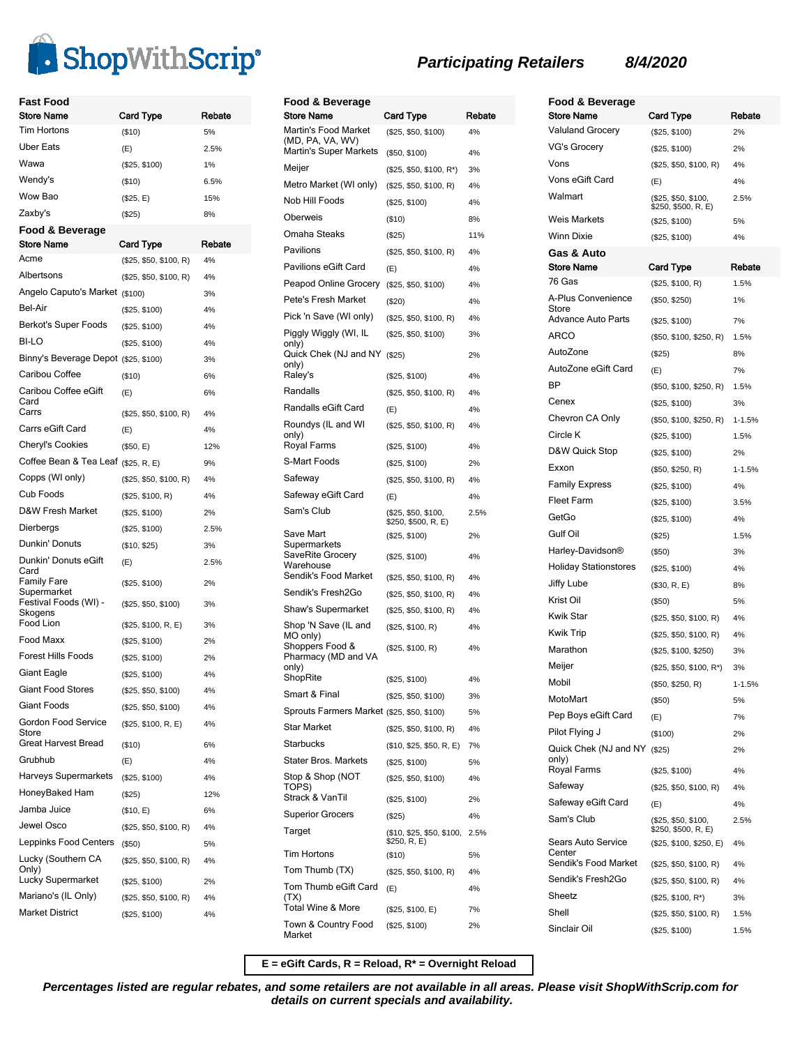

| Fast Food<br>Store Name                          | Card Type                               | Rebate   |
|--------------------------------------------------|-----------------------------------------|----------|
| <b>Tim Hortons</b>                               | ( \$10)                                 | 5%       |
| Uber Eats                                        | (E)                                     | 2.5%     |
| Wawa                                             | (\$25, \$100)                           | 1%       |
| Wendy's                                          | ( \$10)                                 | 6.5%     |
| Wow Bao                                          | (\$25, E)                               | 15%      |
| Zaxby's                                          | (\$25)                                  | 8%       |
| Food & Beverage                                  |                                         |          |
| <b>Store Name</b>                                | <b>Card Type</b>                        | Rebate   |
| Acme                                             | (\$25, \$50, \$100, R)                  | 4%       |
| Albertsons                                       | (\$25, \$50, \$100, R)                  | 4%       |
| Angelo Caputo's Market (\$100)                   |                                         | 3%       |
| Bel-Air                                          | (\$25, \$100)                           | 4%       |
| Berkot's Super Foods                             | (\$25, \$100)                           | 4%       |
| BI-LO                                            | (\$25, \$100)                           | 4%       |
| Binny's Beverage Depot (\$25, \$100)             |                                         | 3%       |
| Caribou Coffee                                   | ( \$10)                                 | 6%       |
| Caribou Coffee eGift<br>Card                     | (E)                                     | 6%       |
| Carrs                                            | (\$25, \$50, \$100, R)                  | 4%       |
| Carrs eGift Card                                 | (E)                                     | 4%       |
| <b>Cheryl's Cookies</b>                          | (\$50, E)                               | 12%      |
| Coffee Bean & Tea Leaf (\$25, R, E)              |                                         | 9%       |
| Copps (WI only)                                  | (\$25, \$50, \$100, R)                  | 4%       |
| Cub Foods                                        | (\$25, \$100, R)                        | 4%       |
| D&W Fresh Market                                 | (\$25, \$100)                           | 2%       |
| Dierbergs                                        | (\$25, \$100)                           | 2.5%     |
| Dunkin' Donuts                                   | (\$10, \$25)                            | 3%       |
| Dunkin' Donuts eGift<br>Card                     | (E)                                     | 2.5%     |
| Family Fare<br>Supermarket                       | (\$25, \$100)                           | 2%       |
| Festival Foods (WI) -<br>Skogens                 | (\$25, \$50, \$100)                     | 3%       |
| Food Lion                                        | (\$25, \$100, R, E)                     | 3%       |
| Food Maxx                                        | (\$25, \$100)                           | 2%       |
| <b>Forest Hills Foods</b>                        | (\$25, \$100)                           | 2%       |
| Giant Eagle                                      | (\$25, \$100)                           | 4%       |
| Giant Food Stores                                | (\$25, \$50, \$100)                     | 4%       |
| Giant Foods                                      | (\$25, \$50, \$100)                     | 4%       |
| Gordon Food Service<br>Store                     | (\$25, \$100, R, E)                     | 4%       |
| Great Harvest Bread                              | ( \$10)                                 | 6%       |
| Grubhub                                          | (E)                                     | 4%       |
| Harveys Supermarkets                             | (\$25, \$100)                           | 4%       |
| HoneyBaked Ham                                   | $(\$25)$                                | 12%      |
| Jamba Juice                                      | (\$10, E)                               | 6%       |
| Jewel Osco                                       | (\$25, \$50, \$100, R)                  | 4%       |
| Leppinks Food Centers                            | $($ \$50)                               | 5%       |
| Lucky (Southern CA<br>Only)<br>Lucky Supermarket | (\$25, \$50, \$100, R)<br>(\$25, \$100) | 4%<br>2% |
| Mariano's (IL Only)                              |                                         |          |
| <b>Market District</b>                           | (\$25, \$50, \$100, R)                  | 4%<br>4% |
|                                                  | (\$25, \$100)                           |          |

| Food & Beverage                                    |                                            |        |
|----------------------------------------------------|--------------------------------------------|--------|
| Store Name                                         | Card Type                                  | Rebate |
| Martin's Food Market<br>(MD, PA, VA, WV)           | (\$25, \$50, \$100)                        | 4%     |
| Martin's Super Markets                             | (\$50, \$100)                              | 4%     |
| Meijer                                             | (\$25, \$50, \$100, R*)                    | 3%     |
| Metro Market (WI only)                             | (\$25, \$50, \$100, R)                     | 4%     |
| Nob Hill Foods                                     | (\$25, \$100)                              | 4%     |
| Oberweis                                           | (\$10)                                     | 8%     |
| Omaha Steaks                                       | $(\$25)$                                   | 11%    |
| Pavilions                                          | (\$25, \$50, \$100, R)                     | 4%     |
| Pavilions eGift Card                               | (E)                                        | 4%     |
| Peapod Online Grocery                              | (\$25, \$50, \$100)                        | 4%     |
| Pete's Fresh Market                                | (\$20)                                     | 4%     |
| Pick 'n Save (WI only)                             | (\$25, \$50, \$100, R)                     | 4%     |
| Piggly Wiggly (WI, IL                              | (\$25, \$50, \$100)                        | 3%     |
| only)<br>Quick Chek (NJ and NY<br>only)            | (\$25)                                     | 2%     |
| Raley's                                            | (\$25, \$100)                              | 4%     |
| Randalls                                           | (\$25, \$50, \$100, R)                     | 4%     |
| Randalls eGift Card                                | (E)                                        | 4%     |
| Roundys (IL and WI<br>only)                        | (\$25, \$50, \$100, R)                     | 4%     |
| Royal Farms                                        | (\$25, \$100)                              | 4%     |
| S-Mart Foods                                       | (\$25, \$100)                              | 2%     |
| Safeway                                            | (\$25, \$50, \$100, R)                     | 4%     |
| Safeway eGift Card                                 | (E)                                        | 4%     |
| Sam's Club                                         | (\$25, \$50, \$100,<br>\$250, \$500, R, E) | 2.5%   |
| Save Mart                                          | (\$25, \$100)                              | 2%     |
| Supermarkets<br>SaveRite Grocery<br>Warehouse      | (\$25, \$100)                              | 4%     |
| Sendik's Food Market                               | (\$25, \$50, \$100, R)                     | 4%     |
| Sendik's Fresh2Go                                  | (\$25, \$50, \$100, R)                     | 4%     |
| Shaw's Supermarket                                 | (\$25, \$50, \$100, R)                     | 4%     |
| Shop 'N Save (IL and                               | (\$25, \$100, R)                           | 4%     |
| MO only)<br>Shoppers Food &<br>Pharmacy (MD and VA | (\$25, \$100, R)                           | 4%     |
| only)                                              |                                            |        |
| ShopRite                                           | (\$25, \$100)                              | 4%     |
| Smart & Final                                      | (\$25, \$50, \$100)                        | 3%     |
| Sprouts Farmers Market (\$25, \$50, \$100)         |                                            | 5%     |
| <b>Star Market</b>                                 | (\$25, \$50, \$100, R)                     | 4%     |
| Starbucks                                          | (\$10, \$25, \$50, R, E)                   | 7%     |
| Stater Bros. Markets                               | (\$25, \$100)                              | 5%     |
| Stop & Shop (NOT<br>TOPS)                          | (\$25, \$50, \$100)                        | 4%     |
| Strack & VanTil                                    | (\$25, \$100)                              | 2%     |
| <b>Superior Grocers</b>                            | (\$25)                                     | 4%     |
| Target                                             | (\$10, \$25, \$50, \$100,<br>\$250, R, E)  | 2.5%   |
| <b>Tim Hortons</b>                                 | (\$10)                                     | 5%     |
| Tom Thumb (TX)                                     | (\$25, \$50, \$100, R)                     | 4%     |
| Tom Thumb eGift Card<br>(TX)                       | (E)                                        | 4%     |
| Total Wine & More                                  | (\$25, \$100, E)                           | 7%     |
| Town & Country Food<br>Market                      | (\$25, \$100)                              | 2%     |

| Rebate<br><b>Store Name</b><br><b>Card Type</b><br><b>Valuland Grocery</b><br>2%<br>(\$25, \$100)<br>VG's Grocery<br>(\$25, \$100)<br>2%<br>Vons<br>(\$25, \$50, \$100, R)<br>4%<br>Vons eGift Card<br>(E)<br>4%<br>Walmart<br>(\$25, \$50, \$100,<br>2.5%<br>\$250, \$500, R, E)<br><b>Weis Markets</b><br>(\$25, \$100)<br>5%<br>Winn Dixie<br>(\$25, \$100)<br>4%<br>Gas & Auto<br>Store Name<br>Card Type<br>Rebate<br>76 Gas<br>1.5%<br>(\$25, \$100, R)<br>A-Plus Convenience<br>(\$50, \$250)<br>1%<br>Store<br>Advance Auto Parts<br>7%<br>(\$25, \$100) | Food & Beverage |  |
|------------------------------------------------------------------------------------------------------------------------------------------------------------------------------------------------------------------------------------------------------------------------------------------------------------------------------------------------------------------------------------------------------------------------------------------------------------------------------------------------------------------------------------------------------------------|-----------------|--|
|                                                                                                                                                                                                                                                                                                                                                                                                                                                                                                                                                                  |                 |  |
|                                                                                                                                                                                                                                                                                                                                                                                                                                                                                                                                                                  |                 |  |
|                                                                                                                                                                                                                                                                                                                                                                                                                                                                                                                                                                  |                 |  |
|                                                                                                                                                                                                                                                                                                                                                                                                                                                                                                                                                                  |                 |  |
|                                                                                                                                                                                                                                                                                                                                                                                                                                                                                                                                                                  |                 |  |
|                                                                                                                                                                                                                                                                                                                                                                                                                                                                                                                                                                  |                 |  |
|                                                                                                                                                                                                                                                                                                                                                                                                                                                                                                                                                                  |                 |  |
|                                                                                                                                                                                                                                                                                                                                                                                                                                                                                                                                                                  |                 |  |
|                                                                                                                                                                                                                                                                                                                                                                                                                                                                                                                                                                  |                 |  |
|                                                                                                                                                                                                                                                                                                                                                                                                                                                                                                                                                                  |                 |  |
|                                                                                                                                                                                                                                                                                                                                                                                                                                                                                                                                                                  |                 |  |
|                                                                                                                                                                                                                                                                                                                                                                                                                                                                                                                                                                  |                 |  |
|                                                                                                                                                                                                                                                                                                                                                                                                                                                                                                                                                                  |                 |  |
| ARCO<br>(\$50, \$100, \$250, R)<br>1.5%                                                                                                                                                                                                                                                                                                                                                                                                                                                                                                                          |                 |  |
| AutoZone<br>8%<br>(\$25)                                                                                                                                                                                                                                                                                                                                                                                                                                                                                                                                         |                 |  |
| AutoZone eGift Card<br>7%<br>(E)                                                                                                                                                                                                                                                                                                                                                                                                                                                                                                                                 |                 |  |
| <b>BP</b><br>(\$50, \$100, \$250, R)<br>1.5%                                                                                                                                                                                                                                                                                                                                                                                                                                                                                                                     |                 |  |
| Cenex<br>(\$25, \$100)<br>3%                                                                                                                                                                                                                                                                                                                                                                                                                                                                                                                                     |                 |  |
| Chevron CA Only<br>(\$50, \$100, \$250, R)<br>$1 - 1.5%$                                                                                                                                                                                                                                                                                                                                                                                                                                                                                                         |                 |  |
| Circle K<br>(\$25, \$100)<br>1.5%                                                                                                                                                                                                                                                                                                                                                                                                                                                                                                                                |                 |  |
| D&W Quick Stop<br>(\$25, \$100)<br>2%                                                                                                                                                                                                                                                                                                                                                                                                                                                                                                                            |                 |  |
| Exxon<br>(\$50, \$250, R)<br>$1 - 1.5%$                                                                                                                                                                                                                                                                                                                                                                                                                                                                                                                          |                 |  |
| <b>Family Express</b><br>(\$25, \$100)<br>4%                                                                                                                                                                                                                                                                                                                                                                                                                                                                                                                     |                 |  |
| <b>Fleet Farm</b><br>3.5%<br>(\$25, \$100)                                                                                                                                                                                                                                                                                                                                                                                                                                                                                                                       |                 |  |
| GetGo<br>4%<br>(\$25, \$100)                                                                                                                                                                                                                                                                                                                                                                                                                                                                                                                                     |                 |  |
| Gulf Oil<br>1.5%<br>(\$25)                                                                                                                                                                                                                                                                                                                                                                                                                                                                                                                                       |                 |  |
| Harley-Davidson®<br>(\$50)<br>3%                                                                                                                                                                                                                                                                                                                                                                                                                                                                                                                                 |                 |  |
| <b>Holiday Stationstores</b><br>(\$25, \$100)<br>4%                                                                                                                                                                                                                                                                                                                                                                                                                                                                                                              |                 |  |
| Jiffy Lube<br>(\$30, R, E)<br>8%                                                                                                                                                                                                                                                                                                                                                                                                                                                                                                                                 |                 |  |
| Krist Oil<br>(\$50)<br>5%                                                                                                                                                                                                                                                                                                                                                                                                                                                                                                                                        |                 |  |
| Kwik Star<br>(\$25, \$50, \$100, R)<br>4%                                                                                                                                                                                                                                                                                                                                                                                                                                                                                                                        |                 |  |
| Kwik Trip<br>(\$25, \$50, \$100, R)<br>4%                                                                                                                                                                                                                                                                                                                                                                                                                                                                                                                        |                 |  |
| Marathon<br>(\$25, \$100, \$250)<br>3%                                                                                                                                                                                                                                                                                                                                                                                                                                                                                                                           |                 |  |
| Meijer<br>(\$25, \$50, \$100, R*)<br>3%                                                                                                                                                                                                                                                                                                                                                                                                                                                                                                                          |                 |  |
| Mobil<br>(\$50, \$250, R)<br>$1 - 1.5%$                                                                                                                                                                                                                                                                                                                                                                                                                                                                                                                          |                 |  |
| MotoMart<br>$($ \$50)<br>5%                                                                                                                                                                                                                                                                                                                                                                                                                                                                                                                                      |                 |  |
| Pep Boys eGift Card<br>7%<br>(E)                                                                                                                                                                                                                                                                                                                                                                                                                                                                                                                                 |                 |  |
| Pilot Flying J<br>(\$100)<br>2%                                                                                                                                                                                                                                                                                                                                                                                                                                                                                                                                  |                 |  |
| Quick Chek (NJ and NY (\$25)<br>2%<br>only)                                                                                                                                                                                                                                                                                                                                                                                                                                                                                                                      |                 |  |
| Royal Farms<br>(\$25, \$100)<br>4%                                                                                                                                                                                                                                                                                                                                                                                                                                                                                                                               |                 |  |
| Safeway<br>(\$25, \$50, \$100, R)<br>4%                                                                                                                                                                                                                                                                                                                                                                                                                                                                                                                          |                 |  |
| Safeway eGift Card<br>(E)<br>4%                                                                                                                                                                                                                                                                                                                                                                                                                                                                                                                                  |                 |  |
| Sam's Club<br>(\$25, \$50, \$100,<br>2.5%<br>\$250, \$500, R, E)                                                                                                                                                                                                                                                                                                                                                                                                                                                                                                 |                 |  |
| Sears Auto Service<br>(\$25, \$100, \$250, E)<br>4%<br>Center<br>Sendik's Food Market<br>(\$25, \$50, \$100, R)<br>4%                                                                                                                                                                                                                                                                                                                                                                                                                                            |                 |  |
| Sendik's Fresh2Go<br>(\$25, \$50, \$100, R)<br>4%                                                                                                                                                                                                                                                                                                                                                                                                                                                                                                                |                 |  |
| Sheetz<br>$($25, $100, R^*)$<br>3%                                                                                                                                                                                                                                                                                                                                                                                                                                                                                                                               |                 |  |
| Shell<br>(\$25, \$50, \$100, R)<br>1.5%                                                                                                                                                                                                                                                                                                                                                                                                                                                                                                                          |                 |  |
| Sinclair Oil<br>(\$25, \$100)<br>1.5%                                                                                                                                                                                                                                                                                                                                                                                                                                                                                                                            |                 |  |

**E = eGift Cards, R = Reload, R\* = Overnight Reload**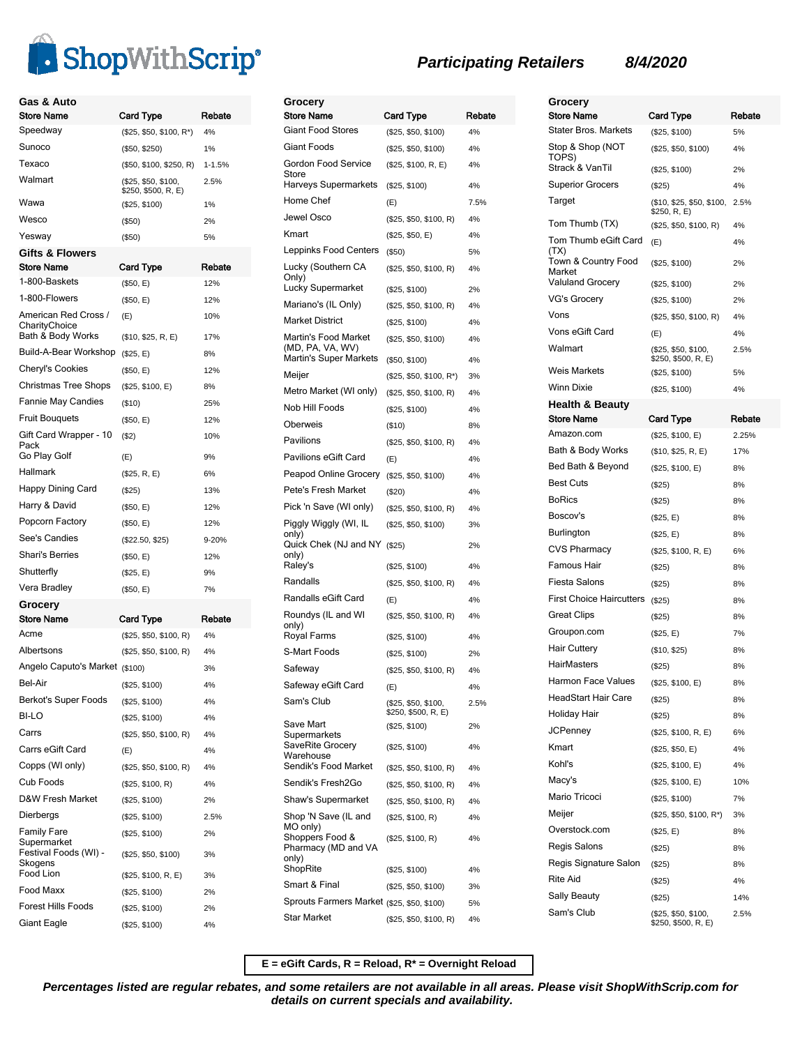

| Gas & Auto<br><b>Store Name</b>                     | Card Type                                  | Rebate     |
|-----------------------------------------------------|--------------------------------------------|------------|
| Speedway                                            | (\$25, \$50, \$100, R*)                    | 4%         |
| Sunoco                                              | (\$50, \$250)                              | 1%         |
| Texaco                                              | (\$50, \$100, \$250, R)                    | $1 - 1.5%$ |
| Walmart                                             | (\$25, \$50, \$100,<br>\$250, \$500, R, E) | 2.5%       |
| Wawa                                                | (\$25, \$100)                              | 1%         |
| Wesco                                               | ( \$50)                                    | 2%         |
| Yesway                                              | $($ \$50)                                  | 5%         |
| <b>Gifts &amp; Flowers</b><br>Store Name            | <b>Card Type</b>                           | Rebate     |
| 1-800-Baskets                                       | (\$50, E)                                  | 12%        |
| 1-800-Flowers                                       | (\$50, E)                                  | 12%        |
| American Red Cross /<br>CharityChoice               | (E)                                        | 10%        |
| Bath & Body Works                                   | (\$10, \$25, R, E)                         | 17%        |
| Build-A-Bear Workshop                               | (\$25, E)                                  | 8%         |
| Cheryl's Cookies                                    | (\$50, E)                                  | 12%        |
| Christmas Tree Shops                                | (\$25, \$100, E)                           | 8%         |
| <b>Fannie May Candies</b>                           | ( \$10)                                    | 25%        |
| <b>Fruit Bouquets</b>                               | (\$50, E)                                  | 12%        |
| Gift Card Wrapper - 10<br>Pack<br>Go Play Golf      | (S2)<br>(E)                                | 10%<br>9%  |
| Hallmark                                            | (\$25, R, E)                               | 6%         |
| Happy Dining Card                                   | (\$25)                                     | 13%        |
| Harry & David                                       | (\$50, E)                                  | 12%        |
| Popcorn Factory                                     | (\$50, E)                                  | 12%        |
| See's Candies                                       | (\$22.50, \$25)                            | 9-20%      |
| <b>Shari's Berries</b>                              | (\$50, E)                                  | 12%        |
| Shutterfly                                          | (\$25, E)                                  | 9%         |
| Vera Bradley                                        | (\$50, E)                                  | 7%         |
| Grocery                                             |                                            |            |
| Store Name                                          | Card Type                                  | Rebate     |
| Acme                                                | (\$25, \$50, \$100, R)                     | 4%         |
| Albertsons                                          | (\$25, \$50, \$100, R)                     | 4%         |
| Angelo Caputo's Market (\$100)                      |                                            | 3%         |
| <b>Bel-Air</b>                                      | (\$25, \$100)                              | 4%         |
| Berkot's Super Foods                                | (\$25, \$100)                              | 4%         |
| BI-LO                                               | (\$25, \$100)                              | 4%         |
| Carrs                                               | (\$25, \$50, \$100, R)                     | 4%         |
| Carrs eGift Card                                    | (E)                                        | 4%         |
| Copps (WI only)                                     | (\$25, \$50, \$100, R)                     | 4%         |
| Cub Foods                                           | (\$25, \$100, R)                           | 4%         |
| D&W Fresh Market                                    | (\$25, \$100)                              | 2%         |
| Dierbergs                                           | (\$25, \$100)                              | 2.5%       |
| Family Fare<br>Supermarket<br>Festival Foods (WI) - | (\$25, \$100)<br>(\$25, \$50, \$100)       | 2%<br>3%   |
| Skogens<br>Food Lion                                |                                            |            |
| Food Maxx                                           | (\$25, \$100, R, E)                        | 3%         |
| Forest Hills Foods                                  | (\$25, \$100)                              | 2%         |
| Giant Eagle                                         | (\$25, \$100)                              | 2%         |
|                                                     | (\$25, \$100)                              | 4%         |

### **Grocery** Store Name Card Type Rebate Giant Food Stores (\$25, \$50, \$100) 4% Giant Foods (\$25, \$50, \$100) 4% Gordon Food Service Store (\$25, \$100, R, E) 4% Harveys Supermarkets (\$25, \$100) 4% Home Chef (E) 7.5% Jewel Osco (\$25, \$50, \$100, R) 4% Kmart (\$25, \$50, E) 4% Leppinks Food Centers (\$50) 5% Lucky (Southern CA Only) (\$25, \$50, \$100, R) 4% Lucky Supermarket (\$25, \$100) 2% Mariano's (IL Only) (\$25, \$50, \$100, R) 4% Market District (\$25, \$100) 4% Martin's Food Market (MD, PA, VA, WV) (\$25, \$50, \$100) 4% Martin's Super Markets (\$50, \$100) 4% Meijer (\$25, \$50, \$100, R\*) 3% Metro Market (WI only) (\$25, \$50, \$100, R) 4% Nob Hill Foods (\$25, \$100) 4% Oberweis (\$10) 8% Pavilions (\$25, \$50, \$100, R) 4% Pavilions eGift Card (E) 4% Peapod Online Grocery (\$25, \$50, \$100) 4% Pete's Fresh Market (\$20) 4% Pick 'n Save (WI only) (\$25, \$50, \$100, R) 4% Piggly Wiggly (WI, IL only) (\$25, \$50, \$100) 3% Quick Chek (NJ and NY (\$25) 2% only)<br>Raley's (\$25, \$100) 4% Randalls (\$25, \$50, \$100, R) 4% Randalls eGift Card (E) 4% Roundys (IL and WI only) (\$25, \$50, \$100, R) 4% Royal Farms (\$25, \$100) 4% S-Mart Foods (\$25, \$100) 2% Safeway (\$25, \$50, \$100, R) 4% Safeway eGift Card (E) 4% Sam's Club (\$25, \$50, \$100, \$250, \$500, R, E) 2.5% Save Mart Supermarkets (\$25, \$100) 2% SaveRite Grocery Warehouse (\$25, \$100) 4% Sendik's Food Market (\$25, \$50, \$100, R) 4% Sendik's Fresh2Go (\$25, \$50, \$100, R) 4% Shaw's Supermarket (\$25, \$50, \$100, R) 4% Shop 'N Save (IL and MO only)  $(S25, S100, R)$  4% Shoppers Food & Pharmacy (MD and VA only)<br>ShopRite  $(S25, S100, R)$  4%  $(S25, S100)$  4% Smart & Final (\$25, \$50, \$100) 3% Sprouts Farmers Market (\$25, \$50, \$100) 5% Star Market (\$25, \$50, \$100, R) 4%

## **Participating Retailers 8/4/2020**

| Grocery<br>Store Name         | Card Type                                  | Rebate |
|-------------------------------|--------------------------------------------|--------|
| Stater Bros. Markets          | (\$25, \$100)                              | 5%     |
| Stop & Shop (NOT<br>TOPS)     | (\$25, \$50, \$100)                        | 4%     |
| Strack & VanTil               | (\$25, \$100)                              | 2%     |
| <b>Superior Grocers</b>       | (\$25)                                     | 4%     |
| Target                        | (\$10, \$25, \$50, \$100,<br>\$250, R, E)  | 2.5%   |
| Tom Thumb (TX)                | (\$25, \$50, \$100, R)                     | 4%     |
| Tom Thumb eGift Card<br>(TX)  | (E)                                        | 4%     |
| Town & Country Food<br>Market | (\$25, \$100)                              | 2%     |
| Valuland Grocery              | (\$25, \$100)                              | 2%     |
| VG's Grocery                  | (\$25, \$100)                              | 2%     |
| Vons                          | (\$25, \$50, \$100, R)                     | 4%     |
| Vons eGift Card               | (E)                                        | 4%     |
| Walmart                       | (\$25, \$50, \$100,<br>\$250, \$500, R, E) | 2.5%   |
| Weis Markets                  | (\$25, \$100)                              | 5%     |
| Winn Dixie                    | (\$25, \$100)                              | 4%     |
| Health & Beauty               |                                            |        |
| Store Name                    | Card Type                                  | Rebate |
| Amazon.com                    | (\$25, \$100, E)                           | 2.25%  |
| Bath & Body Works             | (\$10, \$25, R, E)                         | 17%    |
| Bed Bath & Beyond             | (\$25, \$100, E)                           | 8%     |
| Best Cuts                     | (\$25)                                     | 8%     |
| BoRics                        | (\$25)                                     | 8%     |
| Boscov's                      | (\$25, E)                                  | 8%     |
| Burlington                    | (\$25, E)                                  | 8%     |
| CVS Pharmacy                  | (\$25, \$100, R, E)                        | 6%     |
| Famous Hair                   | (\$25)                                     | 8%     |
| Fiesta Salons                 | (\$25)                                     | 8%     |
| First Choice Haircutters      | (\$25)                                     | 8%     |
| Great Clips                   | (\$25)                                     | 8%     |
| Groupon.com                   | (\$25, E)                                  | 7%     |
| <b>Hair Cuttery</b>           | (\$10, \$25)                               | 8%     |
| HairMasters                   | (S25)                                      | 8%     |
| Harmon Face Values            | (\$25, \$100, E)                           | 8%     |
| HeadStart Hair Care           | (\$25)                                     | 8%     |
| Holiday Hair                  | (\$25)                                     | 8%     |
| JCPenney                      | (\$25, \$100, R, E)                        | 6%     |
| Kmart                         | (\$25, \$50, E)                            | 4%     |
| Kohl's                        | (\$25, \$100, E)                           | 4%     |
| Macy's                        | (\$25, \$100, E)                           | 10%    |
| Mario Tricoci                 | (\$25, \$100)                              | 7%     |
| Meijer                        | $($25, $50, $100, R^*)$                    | 3%     |
| Overstock.com                 | (\$25, E)                                  | 8%     |
| Regis Salons                  | (\$25)                                     | 8%     |
| Regis Signature Salon         | (\$25)                                     | 8%     |
| Rite Aid                      | (\$25)                                     | 4%     |
| Sally Beauty                  | (\$25)                                     | 14%    |
| Sam's Club                    | (\$25, \$50, \$100,<br>\$250, \$500, R, E) | 2.5%   |

**E = eGift Cards, R = Reload, R\* = Overnight Reload**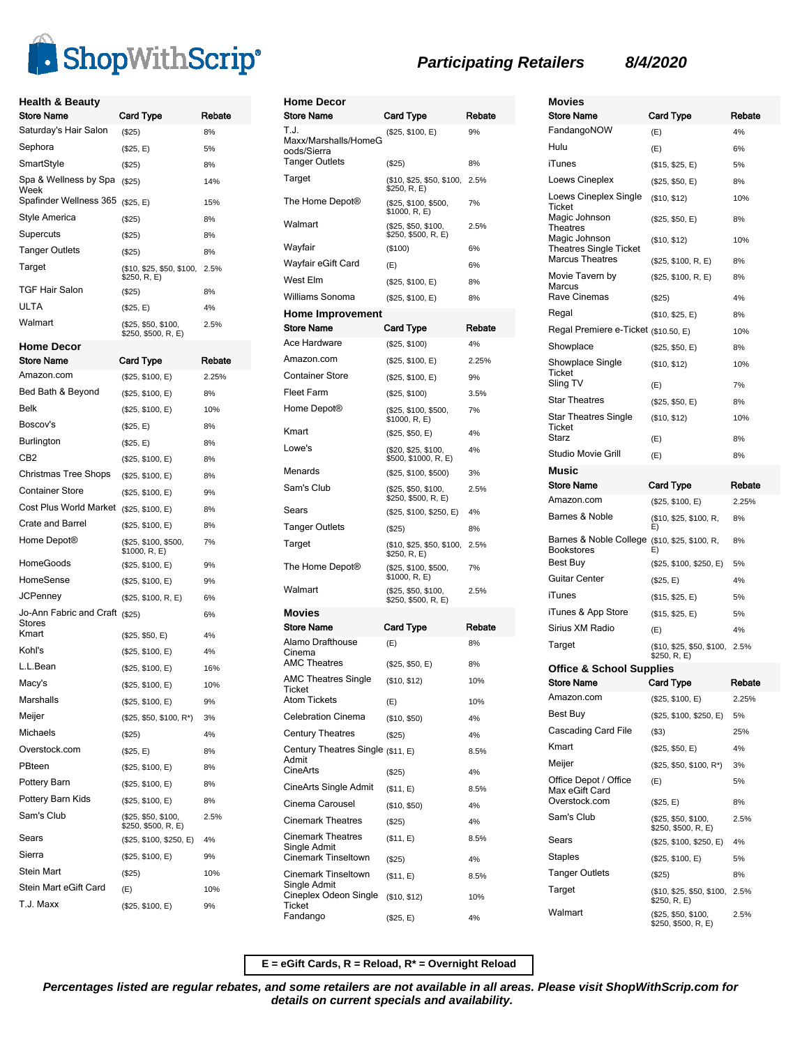

| <b>Health &amp; Beauty</b><br><b>Store Name</b> | Card Type                                  | Rebate |
|-------------------------------------------------|--------------------------------------------|--------|
| Saturday's Hair Salon                           | (\$25)                                     | 8%     |
| Sephora                                         | (\$25, E)                                  | 5%     |
| SmartStyle                                      | (\$25)                                     | 8%     |
| Spa & Wellness by Spa<br>Week                   | (\$25)                                     | 14%    |
| Spafinder Wellness 365                          | (\$25, E)                                  | 15%    |
| Style America                                   | $(\$25)$                                   | 8%     |
| Supercuts                                       | (\$25)                                     | 8%     |
| <b>Tanger Outlets</b>                           | $(\$25)$                                   | 8%     |
| Target                                          | (\$10, \$25, \$50, \$100,<br>\$250, R, E)  | 2.5%   |
| TGF Hair Salon                                  | (\$25)                                     | 8%     |
| ULTA                                            | (\$25, E)                                  | 4%     |
| Walmart                                         | (\$25, \$50, \$100,<br>\$250, \$500, R, E) | 2.5%   |
| <b>Home Decor</b>                               |                                            |        |
| <b>Store Name</b>                               | <b>Card Type</b>                           | Rebate |
| Amazon.com                                      | (\$25, \$100, E)                           | 2.25%  |
| Bed Bath & Beyond                               | (\$25, \$100, E)                           | 8%     |
| Belk                                            | (\$25, \$100, E)                           | 10%    |
| Boscov's                                        | (\$25, E)                                  | 8%     |
| Burlington                                      | (\$25, E)                                  | 8%     |
| CB <sub>2</sub>                                 | (\$25, \$100, E)                           | 8%     |
| Christmas Tree Shops                            | (\$25, \$100, E)                           | 8%     |
| Container Store                                 | (\$25, \$100, E)                           | 9%     |
| Cost Plus World Market                          | (\$25, \$100, E)                           | 8%     |
| Crate and Barrel                                | (\$25, \$100, E)                           | 8%     |
| Home Depot®                                     | (\$25, \$100, \$500,<br>\$1000, R, E)      | 7%     |
| HomeGoods                                       | (\$25, \$100, E)                           | 9%     |
| HomeSense                                       | (\$25, \$100, E)                           | 9%     |
| JCPenney                                        | (\$25, \$100, R, E)                        | 6%     |
| Jo-Ann Fabric and Craft (\$25)<br>Stores        |                                            | 6%     |
| Kmart                                           | (\$25, \$50, E)                            | 4%     |
| Kohl's                                          | (\$25, \$100, E)                           | 4%     |
| L.L.Bean                                        | (\$25, \$100, E)                           | 16%    |
| Macy's                                          | (\$25, \$100, E)                           | 10%    |
| Marshalls                                       | (\$25, \$100, E)                           | 9%     |
| Meijer                                          | $($25, $50, $100, R^*)$                    | 3%     |
| Michaels                                        | $(\$25)$                                   | 4%     |
| Overstock.com                                   | (\$25, E)                                  | 8%     |
| PBteen                                          | (\$25, \$100, E)                           | 8%     |
| Pottery Barn                                    | (\$25, \$100, E)                           | 8%     |
| Pottery Barn Kids                               | (\$25, \$100, E)                           | 8%     |
| Sam's Club                                      | (\$25, \$50, \$100,<br>\$250, \$500, R, E) | 2.5%   |
| Sears                                           | (\$25, \$100, \$250, E)                    | 4%     |
| Sierra                                          | (\$25, \$100, E)                           | 9%     |
| Stein Mart                                      | (\$25)                                     | 10%    |
| Stein Mart eGift Card                           | (E)                                        | 10%    |
| T.J. Maxx                                       | (\$25, \$100, E)                           | 9%     |

| <b>Home Decor</b>                                          |                                                        |              |
|------------------------------------------------------------|--------------------------------------------------------|--------------|
| Store Name                                                 | Card Type                                              | Rebate       |
| T.J.<br>Maxx/Marshalls/HomeG<br>oods/Sierra                | (\$25, \$100, E)                                       | 9%           |
| Tanger Outlets                                             | (\$25)                                                 | 8%           |
| Target                                                     | (\$10, \$25, \$50, \$100,<br>\$250, R, E)              | 2.5%         |
| The Home Depot <sup>®</sup>                                | (\$25, \$100, \$500,<br>\$1000, R, E)                  | 7%           |
| Walmart                                                    | (\$25, \$50, \$100,<br>\$250, \$500, R, E)             | 2.5%         |
| Wayfair                                                    | (\$100)                                                | 6%           |
| Wayfair eGift Card                                         | (E)                                                    | 6%           |
| West Elm                                                   | (\$25, \$100, E)                                       | 8%           |
| Williams Sonoma                                            | (\$25, \$100, E)                                       | 8%           |
| <b>Home Improvement</b>                                    |                                                        |              |
| Store Name<br>Ace Hardware                                 | <b>Card Type</b>                                       | Rebate<br>4% |
| Amazon.com                                                 | (\$25, \$100)                                          |              |
| <b>Container Store</b>                                     | (\$25, \$100, E)                                       | 2.25%        |
| Fleet Farm                                                 | (\$25, \$100, E)                                       | 9%           |
| Home Depot®                                                | (\$25, \$100)<br>(\$25, \$100, \$500,<br>\$1000, R, E) | 3.5%<br>7%   |
| Kmart                                                      | (\$25, \$50, E)                                        | 4%           |
| Lowe's                                                     | (\$20, \$25, \$100,<br>\$500, \$1000, R, E)            | 4%           |
| Menards                                                    | (\$25, \$100, \$500)                                   | 3%           |
| Sam's Club                                                 | (\$25, \$50, \$100,<br>\$250, \$500, R, E)             | 2.5%         |
| Sears                                                      | (\$25, \$100, \$250, E)                                | 4%           |
| <b>Tanger Outlets</b>                                      | (\$25)                                                 | 8%           |
| Target                                                     | (\$10, \$25, \$50, \$100,<br>\$250, R, E)              | 2.5%         |
| The Home Depot®                                            | (\$25, \$100, \$500,<br>\$1000, R, E)                  | 7%           |
| Walmart                                                    | (\$25, \$50, \$100,<br>\$250, \$500, R, E)             | 2.5%         |
| Movies<br><b>Store Name</b>                                |                                                        |              |
| Alamo Drafthouse                                           | Card Type                                              | Rebate       |
| Cinema                                                     | (E)                                                    | 8%           |
| <b>AMC Theatres</b>                                        | (\$25, \$50, E)                                        | 8%           |
| <b>AMC Theatres Single</b><br>нскет<br><b>Atom Tickets</b> | (\$10, \$12)                                           | 10%          |
| <b>Celebration Cinema</b>                                  | (E)                                                    | 10%          |
| <b>Century Theatres</b>                                    | (\$10, \$50)                                           | 4%           |
|                                                            | (\$25)                                                 | 4%           |
| Century Theatres Single (\$11, E)<br>Admit<br>CineArts     | (\$25)                                                 | 8.5%<br>4%   |
| CineArts Single Admit                                      | (\$11, E)                                              | 8.5%         |
| Cinema Carousel                                            | (\$10, \$50)                                           | 4%           |
| <b>Cinemark Theatres</b>                                   | (\$25)                                                 | 4%           |
| <b>Cinemark Theatres</b><br>Single Admit                   | (\$11, E)                                              | 8.5%         |
| Cinemark Tinseltown                                        | (\$25)                                                 | 4%           |
| Cinemark Tinseltown<br>Single Admit                        | (\$11, E)                                              | 8.5%         |
| Cineplex Odeon Single<br>Ticket                            | (\$10, \$12)                                           | 10%          |
| Fandango                                                   | (\$25, E)                                              | 4%           |

### **Movies** Store Name Card Type Rebate FandangoNOW (E) 4% Hulu (E) 6% iTunes (\$15, \$25, E) 5% Loews Cineplex (\$25, \$50, E) 8% Loews Cineplex Single **Ticket** (\$10, \$12) 10% Magic Johnson **Theatres** (\$25, \$50, E) 8% Magic Johnson Theatres Single Ticket (\$10, \$12) 10%  $(\$25, \$100, R, E)$  8% Movie Tavern by Marcus (\$25, \$100, R, E) 8% Rave Cinemas (\$25) 4% Regal (\$10, \$25, E) 8% Regal Premiere e-Ticket (\$10.50, E) 10% Showplace (\$25, \$50, E) 8% Showplace Single **Ticket** (\$10, \$12) 10% Sling TV  $(E)$  7% Star Theatres (\$25, \$50, E) 8% Star Theatres Single **Ticket** (\$10, \$12) 10% Starz (E) 8% Studio Movie Grill (E) 8% **Music** Store Name Card Type Rebate Amazon.com (\$25, \$100, E) 2.25% Barnes & Noble (\$10, \$25, \$100, R, E) 8% Barnes & Noble College (\$10, \$25, \$100, R, Bookstores E) 8% Best Buy (\$25, \$100, \$250, E) 5% Guitar Center (\$25, E) 4% iTunes (\$15, \$25, E) 5% iTunes & App Store (\$15, \$25, E) 5% Sirius XM Radio (E) 4% Target (\$10, \$25, \$50, \$100, \$250, R, E) 2.5% **Office & School Supplies** Store Name Card Type Rebate Amazon.com (\$25, \$100, E) 2.25% Best Buy (\$25, \$100, \$250, E) 5% Cascading Card File (\$3) 25% Kmart (\$25, \$50, E) 4% Meijer (\$25, \$50, \$100, R\*) 3% Office Depot / Office Max eGift Card (E) 5% Overstock.com (\$25, E) 8% Sam's Club (\$25, \$50, \$100, \$250, \$500, R, E) 2.5% Sears (\$25, \$100, \$250, E) 4% Staples (\$25, \$100, E) 5% Tanger Outlets (\$25) 8% Target (\$10, \$25, \$50, \$100, \$250, R, E) 2.5% Walmart (\$25, \$50, \$100, \$250, \$500, R, E) 2.5%

**E = eGift Cards, R = Reload, R\* = Overnight Reload**

**Percentages listed are regular rebates, and some retailers are not available in all areas. Please visit ShopWithScrip.com for details on current specials and availability.**

## **Participating Retailers 8/4/2020**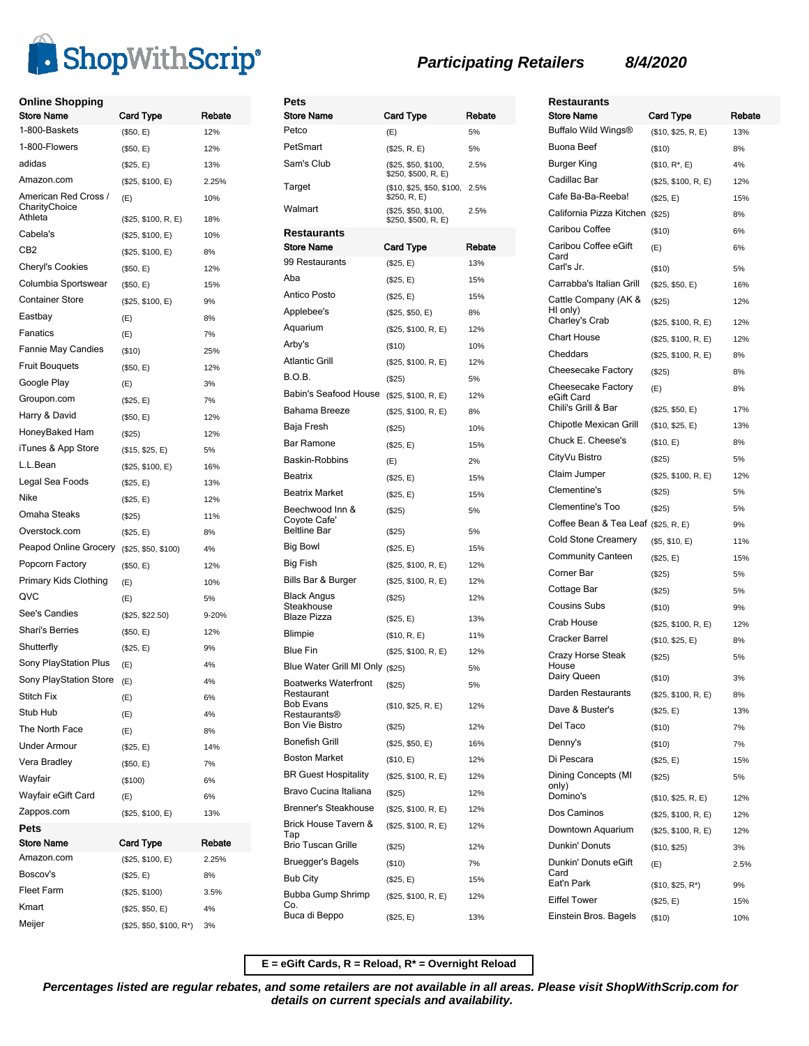

## **Online Shopping**

| <b>Store Name</b>                     | Card Type               | Rebate    |
|---------------------------------------|-------------------------|-----------|
| 1-800-Baskets                         | (\$50, E)               | 12%       |
| 1-800-Flowers                         | (\$50, E)               | 12%       |
| adidas                                | (\$25, E)               | 13%       |
| Amazon.com                            | (\$25, \$100, E)        | 2.25%     |
| American Red Cross /<br>CharityChoice | (E)                     | 10%       |
| Athleta                               | (\$25, \$100, R, E)     | 18%       |
| Cabela's                              | (\$25, \$100, E)        | 10%       |
| CB2                                   | (\$25, \$100, E)        | 8%        |
| Cheryl's Cookies                      | (\$50, E)               | 12%       |
| Columbia Sportswear                   | (\$50, E)               | 15%       |
| Container Store                       | (\$25, \$100, E)        | 9%        |
| Eastbay                               | (E)                     | 8%        |
| Fanatics                              | (E)                     | 7%        |
| Fannie May Candies                    | ( \$10)                 | 25%       |
| <b>Fruit Bouguets</b>                 | (\$50, E)               | 12%       |
| Google Play                           | (E)                     | 3%        |
| Groupon.com                           | (\$25, E)               | 7%        |
| Harry & David                         | (\$50, E)               | 12%       |
| HoneyBaked Ham                        | (\$25)                  | 12%       |
| iTunes & App Store                    | (\$15, \$25, E)         | 5%        |
| L.L.Bean                              | (\$25, \$100, E)        | 16%       |
| Legal Sea Foods                       | (\$25, E)               | 13%       |
| Nike                                  | (\$25, E)               | 12%       |
| Omaha Steaks                          | $($ \$25)               | 11%       |
| Overstock.com                         | (\$25, E)               | 8%        |
| Peapod Online Grocery                 | (\$25, \$50, \$100)     | 4%        |
| Popcorn Factory                       | (\$50, E)               | 12%       |
| Primary Kids Clothing                 | (E)                     | 10%       |
| QVC                                   | (E)                     | 5%        |
| See's Candies                         | (\$25, \$22.50)         | $9 - 20%$ |
| <b>Shari's Berries</b>                | (\$50, E)               | 12%       |
| Shutterfly                            | (\$25, E)               | 9%        |
| Sony PlayStation Plus                 | (E)                     | 4%        |
| Sony PlayStation Store                | (E)                     | 4%        |
| <b>Stitch Fix</b>                     | (E)                     | 6%        |
| Stub Hub                              | (E)                     | 4%        |
| The North Face                        | (E)                     | 8%        |
| <b>Under Armour</b>                   | (\$25, E)               | 14%       |
| Vera Bradley                          | (\$50, E)               | 7%        |
| Wayfair                               | (\$100)                 | 6%        |
| Wayfair eGift Card                    | (E)                     | 6%        |
| Zappos.com                            | (\$25, \$100, E)        | 13%       |
| Pets                                  |                         |           |
| Store Name                            | Card Type               | Rebate    |
| Amazon.com                            | (\$25, \$100, E)        | 2.25%     |
| Boscov's                              | (\$25, E)               | 8%        |
| Fleet Farm                            | (\$25, \$100)           | 3.5%      |
| Kmart                                 | (\$25, \$50, E)         | 4%        |
| Meijer                                | $($25, $50, $100, R^*)$ | 3%        |
|                                       |                         |           |

| Pets                                                   |                                            |            |
|--------------------------------------------------------|--------------------------------------------|------------|
| <b>Store Name</b>                                      | Card Type                                  | Rebate     |
| Petco                                                  | (E)                                        | 5%         |
| PetSmart                                               | (\$25, R, E)                               | 5%         |
| Sam's Club                                             | (\$25, \$50, \$100,<br>\$250, \$500, R, E) | 2.5%       |
| Target                                                 | (\$10, \$25, \$50, \$100,<br>\$250, R, E)  | 2.5%       |
| Walmart                                                | (\$25, \$50, \$100,<br>\$250, \$500, R, E) | 2.5%       |
| Restaurants                                            |                                            |            |
| Store Name                                             | Card Type                                  | Rebate     |
| 99 Restaurants                                         | (\$25, E)                                  | 13%        |
| Aba                                                    | (\$25, E)                                  | 15%        |
| Antico Posto                                           | (\$25, E)                                  | 15%        |
| Applebee's                                             | (\$25, \$50, E)                            | 8%         |
| Aquarium                                               | (\$25, \$100, R, E)                        | 12%        |
| Arby's                                                 | (\$10)                                     | 10%        |
| <b>Atlantic Grill</b>                                  | (\$25, \$100, R, E)                        | 12%        |
| B.O.B.                                                 | (\$25)                                     | 5%         |
| Babin's Seafood House                                  | (\$25, \$100, R, E)                        | 12%        |
| Bahama Breeze                                          | (\$25, \$100, R, E)                        | 8%         |
| Baja Fresh                                             | (\$25)                                     | 10%        |
| Bar Ramone                                             | (\$25, E)                                  | 15%        |
| Baskin-Robbins                                         | (E)                                        | 2%         |
| <b>Beatrix</b>                                         |                                            |            |
| Beatrix Market                                         | (\$25, E)                                  | 15%        |
|                                                        | (\$25, E)                                  | 15%        |
| Beechwood Inn &<br>Coyote Cafe'<br><b>Beltline Bar</b> | (\$25)<br>(\$25)                           | 5%<br>5%   |
| Big Bowl                                               | (\$25, E)                                  | 15%        |
| Big Fish                                               | (\$25, \$100, R, E)                        | 12%        |
| Bills Bar & Burger                                     | (\$25, \$100, R, E)                        | 12%        |
| Black Angus                                            |                                            | 12%        |
| Steakhouse<br><b>Blaze Pizza</b>                       | $(\$25)$<br>(\$25, E)                      | 13%        |
| Blimpie                                                | (\$10, R, E)                               | 11%        |
| <b>Blue Fin</b>                                        | (\$25, \$100, R, E)                        | 12%        |
| Blue Water Grill MI Only (\$25)                        |                                            | 5%         |
| <b>Boatwerks Waterfront</b>                            | (\$25)                                     | 5%         |
| Restaurant<br>Bob Evans                                | (\$10, \$25, R, E)                         | 12%        |
| Restaurants®<br><b>Bon Vie Bistro</b>                  | (\$25)                                     | 12%        |
| <b>Bonefish Grill</b>                                  | (\$25, \$50, E)                            | 16%        |
| <b>Boston Market</b>                                   | (\$10, E)                                  | 12%        |
| <b>BR Guest Hospitality</b>                            | (\$25, \$100, R, E)                        | 12%        |
| Bravo Cucina Italiana                                  | (\$25)                                     | 12%        |
| <b>Brenner's Steakhouse</b>                            |                                            |            |
| Brick House Tavern &                                   | (\$25, \$100, R, E)                        | 12%        |
| Tap<br>Brio Tuscan Grille                              | (\$25, \$100, R, E)<br>(\$25)              | 12%<br>12% |
| Bruegger's Bagels                                      | (\$10)                                     | 7%         |
| <b>Bub City</b>                                        | (\$25, E)                                  | 15%        |
| Bubba Gump Shrimp                                      |                                            |            |
| Co.<br>Buca di Beppo                                   | (\$25, \$100, R, E)<br>(\$25, E)           | 12%<br>13% |
|                                                        |                                            |            |

# **Participating Retailers 8/4/2020**

| <b>Restaurants</b>                                 |                               |            |
|----------------------------------------------------|-------------------------------|------------|
| Store Name                                         | <b>Card Type</b>              | Rebate     |
| Buffalo Wild Wings®                                | (\$10, \$25, R, E)            | 13%        |
| Buona Beef                                         | (\$10)                        | 8%         |
| Burger King                                        | $($10, R^*, E)$               | 4%         |
| Cadillac Bar                                       | (\$25, \$100, R, E)           | 12%        |
| Cafe Ba-Ba-Reeba!                                  | (\$25, E)                     | 15%        |
| California Pizza Kitchen                           | (\$25)                        | 8%         |
| Caribou Coffee                                     | (\$10)                        | 6%         |
| Caribou Coffee eGift<br>Card<br>Carl's Jr.         | (E)                           | 6%         |
|                                                    | $($ \$10)                     | 5%         |
| Carrabba's Italian Grill                           | (\$25, \$50, E)               | 16%        |
| Cattle Company (AK &<br>HI only)<br>Charley's Crab | (\$25)<br>(\$25, \$100, R, E) | 12%<br>12% |
| <b>Chart House</b>                                 | (\$25, \$100, R, E)           | 12%        |
| Cheddars                                           | (\$25, \$100, R, E)           | 8%         |
| Cheesecake Factory                                 | (\$25)                        | 8%         |
| Cheesecake Factory<br>eGift Card                   | (E)                           | 8%         |
| Chili's Grill & Bar                                | (\$25, \$50, E)               | 17%        |
| Chipotle Mexican Grill                             | (\$10, \$25, E)               | 13%        |
| Chuck E. Cheese's                                  | (\$10, E)                     | 8%         |
| CityVu Bistro                                      | (S25)                         | 5%         |
| Claim Jumper                                       | (\$25, \$100, R, E)           | 12%        |
| Clementine's                                       | (\$25)                        | 5%         |
| Clementine's Too                                   | (\$25)                        | 5%         |
| Coffee Bean & Tea Leaf (\$25, R, E)                |                               | 9%         |
| Cold Stone Creamery                                | (\$5, \$10, E)                | 11%        |
| <b>Community Canteen</b>                           | (\$25, E)                     | 15%        |
| Corner Bar                                         | (\$25)                        | 5%         |
| Cottage Bar                                        | (\$25)                        | 5%         |
| <b>Cousins Subs</b>                                | (\$10)                        | 9%         |
| Crab House                                         | (\$25, \$100, R, E)           | 12%        |
| Cracker Barrel                                     | (\$10, \$25, E)               | 8%         |
| Crazy Horse Steak<br>House                         | (S25)                         | 5%         |
| Dairy Queen                                        | (\$10)                        | 3%         |
| Darden Restaurants                                 | (\$25, \$100, R, E)           | 8%         |
| Dave & Buster's                                    | (\$25, E)                     | 13%        |
| Del Taco                                           | (\$10)                        | 7%         |
| Denny's                                            | $($ \$10)                     | 7%         |
| Di Pescara                                         | (\$25, E)                     | 15%        |
| Dining Concepts (MI<br>only)                       | (\$25)                        | 5%         |
| Domino's                                           | (\$10, \$25, R, E)            | 12%        |
| Dos Caminos                                        | (\$25, \$100, R, E)           | 12%        |
| Downtown Aquarium                                  | (\$25, \$100, R, E)           | 12%        |
| Dunkin' Donuts                                     | (\$10, \$25)                  | 3%         |
| Dunkin' Donuts eGift<br>Card<br>Eat'n Park         | (E)                           | 2.5%       |
|                                                    | (\$10, \$25, R*)              | 9%         |
| <b>Eiffel Tower</b>                                | (\$25, E)                     | 15%        |
| Einstein Bros. Bagels                              | (\$10)                        | 10%        |

**E = eGift Cards, R = Reload, R\* = Overnight Reload**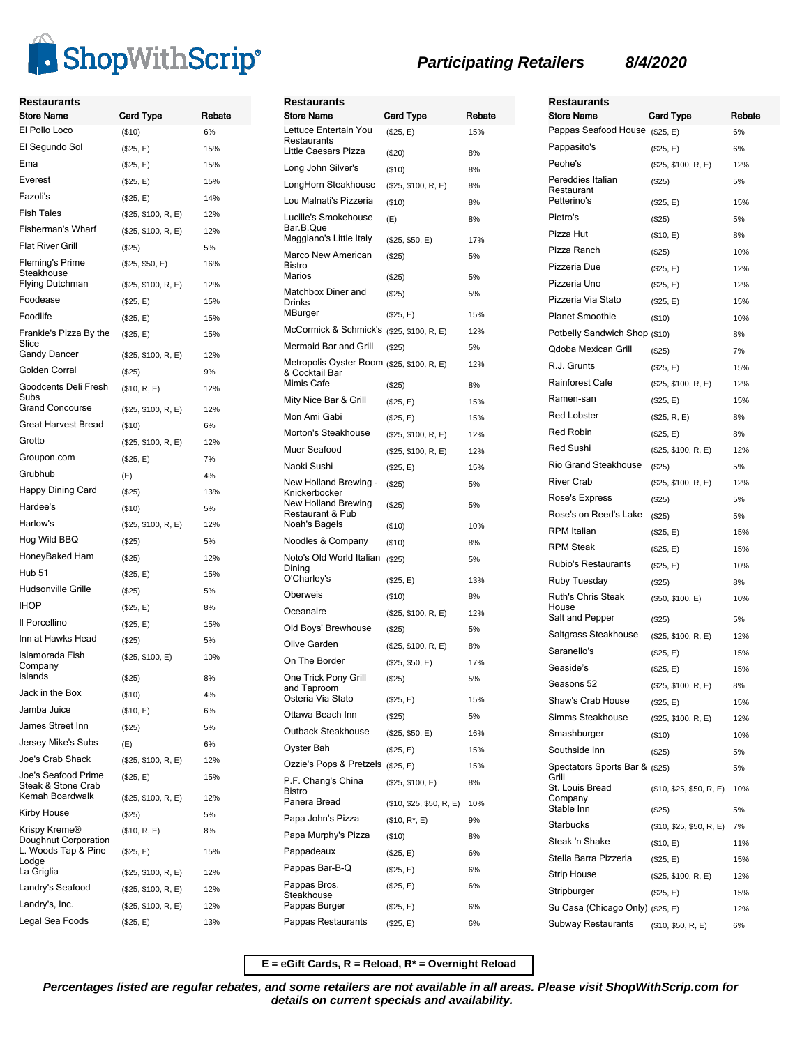

| <b>Restaurants</b><br><b>Store Name</b>   | <b>Card Type</b>    | Rebate | Res<br>Ston           |
|-------------------------------------------|---------------------|--------|-----------------------|
| El Pollo Loco                             | (\$10)              | 6%     | Lettu                 |
| El Segundo Sol                            | (\$25, E)           | 15%    | Rest<br>Little        |
| Ema                                       | (\$25, E)           | 15%    | Long                  |
| Everest                                   | (\$25, E)           | 15%    | Long                  |
| Fazoli's                                  | (\$25, E)           | 14%    | Lou                   |
| <b>Fish Tales</b>                         | (\$25, \$100, R, E) | 12%    | Lucil                 |
| Fisherman's Wharf                         | (\$25, \$100, R, E) | 12%    | Bar.l                 |
| <b>Flat River Grill</b>                   | (\$25)              | 5%     | Mag                   |
| Fleming's Prime<br>Steakhouse             | (\$25, \$50, E)     | 16%    | Maro<br>Bistr<br>Mari |
| Flying Dutchman                           | (\$25, \$100, R, E) | 12%    | Mato                  |
| Foodease                                  | (\$25, E)           | 15%    | Drinl<br>MBu          |
| Foodlife                                  | (\$25, E)           | 15%    | McC                   |
| Frankie's Pizza By the<br>Slice           | (\$25, E)           | 15%    | Merr                  |
| <b>Gandy Dancer</b>                       | (\$25, \$100, R, E) | 12%    | Metr                  |
| Golden Corral                             | (\$25)              | 9%     | & Co                  |
| Goodcents Deli Fresh<br>Subs              | (\$10, R, E)        | 12%    | Mim<br>Mity           |
| <b>Grand Concourse</b>                    | (\$25, \$100, R, E) | 12%    | Mon                   |
| <b>Great Harvest Bread</b>                | (\$10)              | 6%     | Mort                  |
| Grotto                                    | (\$25, \$100, R, E) | 12%    | Mue                   |
| Groupon.com                               | (\$25, E)           | 7%     | Naol                  |
| Grubhub                                   | (E)                 | 4%     | New                   |
| Happy Dining Card                         | (\$25)              | 13%    | Knic                  |
| Hardee's                                  | ( \$10)             | 5%     | New<br>Rest           |
| Harlow's                                  | (\$25, \$100, R, E) | 12%    | Noal                  |
| Hog Wild BBQ                              | $($ \$25)           | 5%     | Noo                   |
| HoneyBaked Ham                            | (\$25)              | 12%    | Notc<br>Dinir         |
| <b>Hub 51</b>                             | (\$25, E)           | 15%    | O'Cl                  |
| Hudsonville Grille                        | $(\$25)$            | 5%     | Obe                   |
| <b>IHOP</b>                               | (\$25, E)           | 8%     | Oce                   |
| Il Porcellino                             | (\$25, E)           | 15%    | Old I                 |
| Inn at Hawks Head                         | (\$25)              | 5%     | Olive                 |
| Islamorada Fish<br>Company                | (\$25, \$100, E)    | 10%    | On 1                  |
| Islands                                   | (\$25)              | 8%     | One                   |
| Jack in the Box                           | (\$10)              | 4%     | and<br>Oste           |
| Jamba Juice                               | (\$10, E)           | 6%     | Otta                  |
| James Street Inn                          | (\$25)              | 5%     | Outb                  |
| Jersey Mike's Subs                        | (E)                 | 6%     | Oyst                  |
| Joe's Crab Shack                          | (\$25, \$100, R, E) | 12%    | Ozzi                  |
| Joe's Seafood Prime<br>Steak & Stone Crab | (\$25, E)           | 15%    | P.F.<br>Bistr         |
| Kemah Boardwalk                           | (\$25, \$100, R, E) | 12%    | Pan                   |
| Kirby House                               | $(\$25)$            | 5%     | Papa                  |
| Krispy Kreme®<br>Doughnut Corporation     | (\$10, R, E)        | 8%     | Papa                  |
| L. Woods Tap & Pine<br>Lodge              | (\$25, E)           | 15%    | Pap                   |
| La Griglia                                | (\$25, \$100, R, E) | 12%    | Pap                   |
| Landry's Seafood                          | (\$25, \$100, R, E) | 12%    | Pap<br>Stea           |
| Landry's, Inc.                            | (\$25, \$100, R, E) | 12%    | Pap                   |
| Legal Sea Foods                           | (\$25, E)           | 13%    | Pap                   |

| <b>Restaurants</b>                                                         |                          |           |
|----------------------------------------------------------------------------|--------------------------|-----------|
| <b>Store Name</b>                                                          | Card Type                | Rebate    |
| Lettuce Entertain You<br>Restaurants                                       | (\$25, E)                | 15%       |
| Little Caesars Pizza                                                       | (\$20)                   | 8%        |
| Long John Silver's                                                         | ( \$10)                  | 8%        |
| LongHorn Steakhouse                                                        | (\$25, \$100, R, E)      | 8%        |
| Lou Malnati's Pizzeria                                                     | (\$10)                   | 8%        |
| Lucille's Smokehouse<br>Bar.B.Que<br>Maggiano's Little Italy               | (E)<br>(\$25, \$50, E)   | 8%<br>17% |
| Marco New American                                                         |                          |           |
| Bistro<br>Marios                                                           | (\$25)<br>(\$25)         | 5%<br>5%  |
| Matchbox Diner and                                                         | (\$25)                   | 5%        |
| Drinks<br>MBurger                                                          |                          |           |
| McCormick & Schmick's (\$25, \$100, R, E)                                  | (\$25, E)                | 15%       |
|                                                                            |                          | 12%       |
| Mermaid Bar and Grill                                                      | (\$25)                   | 5%        |
| Metropolis Oyster Room (\$25, \$100, R, E)<br>& Cocktail Bar<br>Mimis Cafe | (\$25)                   | 12%<br>8% |
| Mity Nice Bar & Grill                                                      | (\$25, E)                | 15%       |
| Mon Ami Gabi                                                               | (\$25, E)                | 15%       |
| Morton's Steakhouse                                                        | (\$25, \$100, R, E)      | 12%       |
| Muer Seafood                                                               | (\$25, \$100, R, E)      | 12%       |
| Naoki Sushi                                                                | (\$25, E)                | 15%       |
| New Holland Brewing -                                                      | (\$25)                   | 5%        |
| Knickerbocker<br>New Holland Brewing<br>Restaurant & Pub                   | (\$25)                   | 5%        |
| Noah's Bagels                                                              | $($ \$10)                | 10%       |
| Noodles & Company                                                          | ( \$10)                  | 8%        |
| Noto's Old World Italian<br>Dining                                         | (\$25)                   | 5%        |
| O'Charley's                                                                | (\$25, E)                | 13%       |
| Oberweis                                                                   | (\$10)                   | 8%        |
| Oceanaire                                                                  | (\$25, \$100, R, E)      | 12%       |
| Old Boys' Brewhouse                                                        | (\$25)                   | 5%        |
| Olive Garden                                                               | (\$25, \$100, R, E)      | 8%        |
| On The Border                                                              | (\$25, \$50, E)          | 17%       |
| One Trick Pony Grill<br>and Taproom<br>Osteria Via Stato                   | (\$25)                   | 5%        |
|                                                                            | (\$25, E)                | 15%       |
| Ottawa Beach Inn                                                           | (\$25)                   | 5%        |
| Outback Steakhouse                                                         | (\$25, \$50, E)          | 16%       |
| Oyster Bah                                                                 | (\$25, E)                | 15%       |
| Ozzie's Pops & Pretzels                                                    | (\$25, E)                | 15%       |
| P.F. Chang's China<br>Bistro<br>Panera Bread                               | (\$25, \$100, E)         | 8%<br>10% |
| Papa John's Pizza                                                          | (\$10, \$25, \$50, R, E) |           |
|                                                                            | $($10, R^*, E)$          | 9%        |
| Papa Murphy's Pizza                                                        | (\$10)                   | 8%        |
| Pappadeaux                                                                 | (\$25, E)                | 6%        |
| Pappas Bar-B-Q                                                             | (\$25, E)                | 6%        |
| Pappas Bros.<br>Steakhouse                                                 | (\$25, E)                | 6%        |
| Pappas Burger                                                              | (\$25, E)                | 6%        |
| Pappas Restaurants                                                         | (\$25, E)                | 6%        |

| <b>Restaurants</b>                       |                          |        |
|------------------------------------------|--------------------------|--------|
| <b>Store Name</b>                        | Card Type                | Rebate |
| Pappas Seafood House (\$25, E)           |                          | 6%     |
| Pappasito's                              | (\$25, E)                | 6%     |
| Peohe's                                  | (\$25, \$100, R, E)      | 12%    |
| Pereddies Italian                        | (\$25)                   | 5%     |
| Restaurant<br>Petterino's                |                          |        |
| Pietro's                                 | (\$25, E)                | 15%    |
| Pizza Hut                                | (\$25)                   | 5%     |
| Pizza Ranch                              | (\$10, E)                | 8%     |
|                                          | (\$25)                   | 10%    |
| Pizzeria Due                             | (\$25, E)                | 12%    |
| Pizzeria Uno                             | (\$25, E)                | 12%    |
| Pizzeria Via Stato                       | (\$25, E)                | 15%    |
| <b>Planet Smoothie</b>                   | (\$10)                   | 10%    |
| Potbelly Sandwich Shop (\$10)            |                          | 8%     |
| Qdoba Mexican Grill                      | (\$25)                   | 7%     |
| R.J. Grunts                              | (\$25, E)                | 15%    |
| Rainforest Cafe                          | (\$25, \$100, R, E)      | 12%    |
| Ramen-san                                | (\$25, E)                | 15%    |
| <b>Red Lobster</b>                       | (\$25, R, E)             | 8%     |
| <b>Red Robin</b>                         | (\$25, E)                | 8%     |
| <b>Red Sushi</b>                         | (\$25, \$100, R, E)      | 12%    |
| <b>Rio Grand Steakhouse</b>              | (\$25)                   | 5%     |
| <b>River Crab</b>                        | (\$25, \$100, R, E)      | 12%    |
| Rose's Express                           | (S25)                    | 5%     |
| Rose's on Reed's Lake                    | (S25)                    | 5%     |
| <b>RPM</b> Italian                       | (\$25, E)                | 15%    |
| <b>RPM Steak</b>                         | (\$25, E)                | 15%    |
| Rubio's Restaurants                      | (\$25, E)                | 10%    |
| Ruby Tuesday                             | (\$25)                   | 8%     |
| Ruth's Chris Steak                       | (\$50, \$100, E)         | 10%    |
| House<br>Salt and Pepper                 | (\$25)                   | 5%     |
| Saltgrass Steakhouse                     |                          |        |
| Saranello's                              | (\$25, \$100, R, E)      | 12%    |
|                                          | (\$25, E)                | 15%    |
| Seaside's                                | (\$25, E)                | 15%    |
| Seasons 52                               | (\$25, \$100, R, E)      | 8%     |
| Shaw's Crab House                        | (\$25, E)                | 15%    |
| Simms Steakhouse                         | (\$25, \$100, R, E)      | 12%    |
| Smashburger                              | (\$10)                   | 10%    |
| Southside Inn                            | (\$25)                   | 5%     |
| Spectators Sports Bar & (\$25)<br>Grill  |                          | 5%     |
| St. Louis Bread<br>Company<br>Stable Inn | (\$10, \$25, \$50, R, E) | 10%    |
| <b>Starbucks</b>                         | (\$25)                   | 5%     |
|                                          | (\$10, \$25, \$50, R, E) | 7%     |
| Steak 'n Shake                           | (\$10, E)                | 11%    |
| Stella Barra Pizzeria                    | (\$25, E)                | 15%    |
| Strip House                              | (\$25, \$100, R, E)      | 12%    |
| Stripburger                              | (\$25, E)                | 15%    |
| Su Casa (Chicago Only) (\$25, E)         |                          | 12%    |
| <b>Subway Restaurants</b>                | (\$10, \$50, R, E)       | 6%     |

**E = eGift Cards, R = Reload, R\* = Overnight Reload**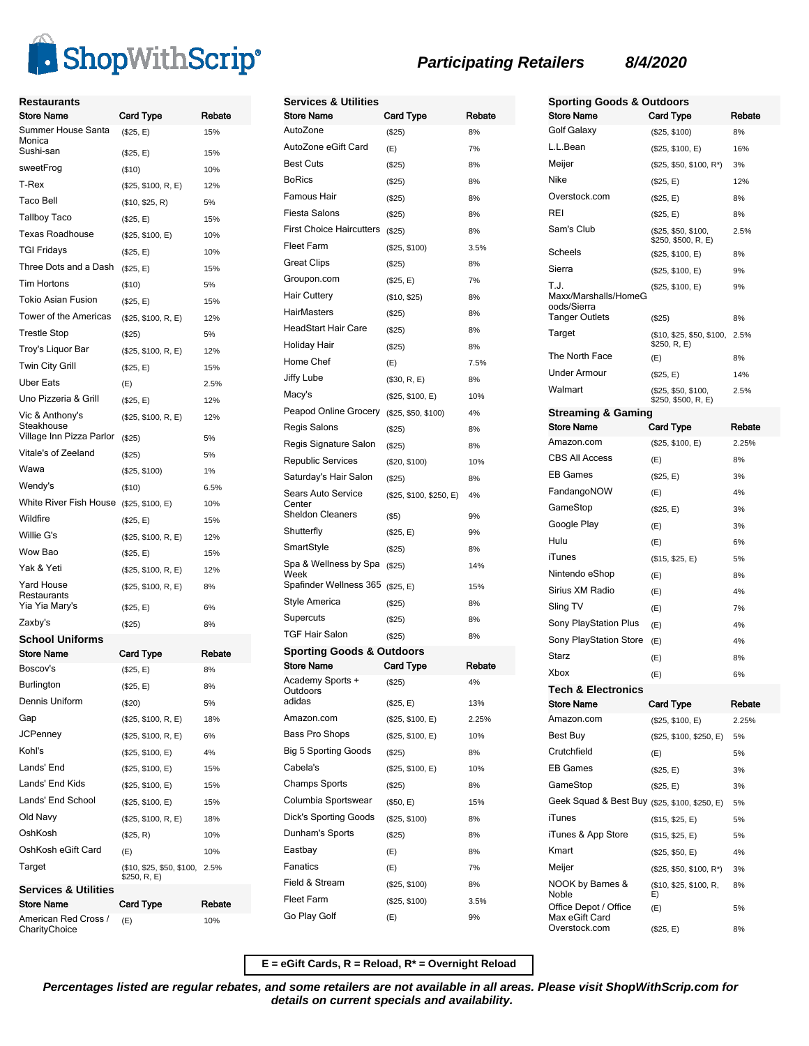

| Restaurants<br><b>Store Name</b>            | Card Type                                 | Rebate |
|---------------------------------------------|-------------------------------------------|--------|
| Summer House Santa<br>Monica                | (\$25, E)                                 | 15%    |
| Sushi-san                                   | (\$25, E)                                 | 15%    |
| sweetFrog                                   | ( \$10)                                   | 10%    |
| T-Rex                                       | (\$25, \$100, R, E)                       | 12%    |
| <b>Taco Bell</b>                            | (\$10, \$25, R)                           | 5%     |
| Tallboy Taco                                | (\$25, E)                                 | 15%    |
| <b>Texas Roadhouse</b>                      | (\$25, \$100, E)                          | 10%    |
| <b>TGI Fridays</b>                          | (\$25, E)                                 | 10%    |
| Three Dots and a Dash                       | (\$25, E)                                 | 15%    |
| Tim Hortons                                 | ( \$10)                                   | 5%     |
| Tokio Asian Fusion                          | (\$25, E)                                 | 15%    |
| <b>Tower of the Americas</b>                | (\$25, \$100, R, E)                       | 12%    |
| <b>Trestle Stop</b>                         | $($ \$25)                                 | 5%     |
| Troy's Liquor Bar                           | (\$25, \$100, R, E)                       | 12%    |
| Twin City Grill                             | (\$25, E)                                 | 15%    |
| <b>Uber Eats</b>                            | (E)                                       | 2.5%   |
| Uno Pizzeria & Grill                        | (\$25, E)                                 | 12%    |
| Vic & Anthony's<br>Steakhouse               | (\$25, \$100, R, E)                       | 12%    |
| Village Inn Pizza Parlor                    | (\$25)                                    | 5%     |
| Vitale's of Zeeland                         | $(\$25)$                                  | 5%     |
| Wawa                                        | (\$25, \$100)                             | 1%     |
| Wendy's                                     | ( \$10)                                   | 6.5%   |
| White River Fish House                      | (\$25, \$100, E)                          | 10%    |
| Wildfire                                    | (\$25, E)                                 | 15%    |
| Willie G's                                  | (\$25, \$100, R, E)                       | 12%    |
| Wow Bao                                     | (\$25, E)                                 | 15%    |
| Yak & Yeti                                  | (\$25, \$100, R, E)                       | 12%    |
| Yard House<br>Restaurants<br>Yia Yia Mary's | (\$25, \$100, R, E)                       | 8%     |
| Zaxby's                                     | (\$25, E)                                 | 6%     |
| <b>School Uniforms</b>                      | $($ \$25)                                 | 8%     |
| Store Name                                  | Card Type                                 | Rebate |
| Boscov's                                    | (\$25, E)                                 | 8%     |
| Burlington                                  | (\$25, E)                                 | 8%     |
| Dennis Uniform                              | (\$20)                                    | 5%     |
| Gap                                         | (\$25, \$100, R, E)                       | 18%    |
| <b>JCPenney</b>                             | (\$25, \$100, R, E)                       | 6%     |
| Kohl's                                      | (\$25, \$100, E)                          | 4%     |
| Lands' End                                  | (\$25, \$100, E)                          | 15%    |
| Lands' End Kids                             | (\$25, \$100, E)                          | 15%    |
| Lands' End School                           | (\$25, \$100, E)                          | 15%    |
| Old Navy                                    | (\$25, \$100, R, E)                       | 18%    |
| OshKosh                                     | (\$25, R)                                 | 10%    |
| OshKosh eGift Card                          | (E)                                       | 10%    |
| Target                                      | (\$10, \$25, \$50, \$100,<br>\$250, R, E) | 2.5%   |
| Services & Utilities<br><b>Store Name</b>   |                                           | Rebate |
| American Red Cross /                        | Card Type<br>(E)                          | 10%    |
| CharityChoice                               |                                           |        |

| <b>Services &amp; Utilities</b><br><b>Store Name</b> | Card Type                       | Rebate   |
|------------------------------------------------------|---------------------------------|----------|
| AutoZone                                             | (\$25)                          | 8%       |
| AutoZone eGift Card                                  | (E)                             | 7%       |
| <b>Best Cuts</b>                                     | (\$25)                          | 8%       |
| <b>BoRics</b>                                        | (\$25)                          | 8%       |
| Famous Hair                                          | (\$25)                          | 8%       |
| Fiesta Salons                                        | (\$25)                          | 8%       |
| <b>First Choice Haircutters</b>                      | (\$25)                          | 8%       |
| Fleet Farm                                           | (\$25, \$100)                   | 3.5%     |
| Great Clips                                          | (\$25)                          | 8%       |
| Groupon.com                                          | (\$25, E)                       | 7%       |
| <b>Hair Cuttery</b>                                  | (\$10, \$25)                    | 8%       |
| <b>HairMasters</b>                                   | (\$25)                          | 8%       |
| HeadStart Hair Care                                  | (\$25)                          | 8%       |
| Holiday Hair                                         | (\$25)                          | 8%       |
| Home Chef                                            | (E)                             | 7.5%     |
| Jiffy Lube                                           | (\$30, R, E)                    | 8%       |
| Macy's                                               |                                 | 10%      |
| Peapod Online Grocery (\$25, \$50, \$100)            | (\$25, \$100, E)                | 4%       |
| Regis Salons                                         |                                 | 8%       |
| Regis Signature Salon                                | (\$25)                          |          |
| Republic Services                                    | (\$25)                          | 8%       |
| Saturday's Hair Salon                                | (\$20, \$100)                   | 10%      |
| Sears Auto Service                                   | (\$25)                          | 8%       |
| Center<br><b>Sheldon Cleaners</b>                    | (\$25, \$100, \$250, E)<br>(S5) | 4%<br>9% |
| Shutterfly                                           | (\$25, E)                       | 9%       |
| SmartStyle                                           | (\$25)                          | 8%       |
| Spa & Wellness by Spa<br>Week                        | (\$25)                          | 14%      |
| Spafinder Wellness 365 (\$25, E)                     |                                 | 15%      |
| Style America                                        | (\$25)                          | 8%       |
| Supercuts                                            | (\$25)                          | 8%       |
| <b>TGF Hair Salon</b>                                | (\$25)                          | 8%       |
| Sporting Goods & Outdoors<br><b>Store Name</b>       | <b>Card Type</b>                | Rebate   |
| Academy Sports +                                     | (\$25)                          | 4%       |
| Outdoors<br>adidas                                   | (\$25, E)                       | 13%      |
| Amazon.com                                           | (\$25, \$100, E)                | 2.25%    |
| Bass Pro Shops                                       | (\$25, \$100, E)                | 10%      |
| <b>Big 5 Sporting Goods</b>                          | (\$25)                          | 8%       |
| Cabela's                                             | (\$25, \$100, E)                | 10%      |
| Champs Sports                                        | (\$25)                          | 8%       |
| Columbia Sportswear                                  | (\$50, E)                       | 15%      |
| Dick's Sporting Goods                                | (\$25, \$100)                   | 8%       |
| Dunham's Sports                                      | (\$25)                          | 8%       |
| Eastbay                                              | (E)                             | 8%       |
| Fanatics                                             | (E)                             | 7%       |
| Field & Stream                                       | (\$25, \$100)                   | 8%       |
| Fleet Farm                                           | (\$25, \$100)                   | 3.5%     |
| Go Play Golf                                         | (E)                             | 9%       |
|                                                      |                                 |          |

| <b>Sporting Goods &amp; Outdoors</b>                   |                                            |        |
|--------------------------------------------------------|--------------------------------------------|--------|
| <b>Store Name</b>                                      | <b>Card Type</b>                           | Rebate |
| Golf Galaxy                                            | (\$25, \$100)                              | 8%     |
| L.L.Bean                                               | (\$25, \$100, E)                           | 16%    |
| Meiier                                                 | (\$25, \$50, \$100, R*)                    | 3%     |
| Nike                                                   | (\$25, E)                                  | 12%    |
| Overstock.com                                          | (\$25, E)                                  | 8%     |
| <b>REI</b>                                             | (\$25, E)                                  | 8%     |
| Sam's Club                                             | (\$25, \$50, \$100,<br>\$250, \$500, R, E) | 2.5%   |
| Scheels                                                | (\$25, \$100, E)                           | 8%     |
| Sierra                                                 | (\$25, \$100, E)                           | 9%     |
| T.J.<br>Maxx/Marshalls/HomeG<br>oods/Sierra            | (\$25, \$100, E)                           | 9%     |
| Tanger Outlets                                         | (\$25)                                     | 8%     |
| Target                                                 | (\$10, \$25, \$50, \$100,<br>\$250, R, E)  | 2.5%   |
| The North Face                                         | (E)                                        | 8%     |
| <b>Under Armour</b>                                    | (\$25, E)                                  | 14%    |
| Walmart                                                | (\$25, \$50, \$100,<br>\$250, \$500, R, E) | 2.5%   |
| <b>Streaming &amp; Gaming</b>                          |                                            |        |
| <b>Store Name</b>                                      | <b>Card Type</b>                           | Rebate |
| Amazon.com<br><b>CBS All Access</b>                    | (\$25, \$100, E)                           | 2.25%  |
| <b>EB Games</b>                                        | (E)                                        | 8%     |
|                                                        | (\$25, E)                                  | 3%     |
| FandangoNOW                                            | (E)                                        | 4%     |
| GameStop<br>Google Play                                | (\$25, E)                                  | 3%     |
| Hulu                                                   | (E)                                        | 3%     |
| iTunes                                                 | (E)                                        | 6%     |
| Nintendo eShop                                         | (\$15, \$25, E)                            | 5%     |
| Sirius XM Radio                                        | (E)                                        | 8%     |
|                                                        | (E)                                        | 4%     |
| Sling TV                                               | (E)                                        | 7%     |
| Sony PlayStation Plus<br><b>Sony PlayStation Store</b> | (E)                                        | 4%     |
| Starz                                                  | (E)                                        | 4%     |
| Xbox                                                   | (E)                                        | 8%     |
| <b>Tech &amp; Electronics</b>                          | (E)                                        | 6%     |
| <b>Store Name</b>                                      | Card Type                                  | Rebate |
| Amazon.com                                             | (\$25, \$100, E)                           | 2.25%  |
| Best Buy                                               | (\$25, \$100, \$250, E)                    | 5%     |
| Crutchfield                                            | (E)                                        | 5%     |
| <b>EB Games</b>                                        | (\$25, E)                                  | 3%     |
| GameStop                                               | (\$25, E)                                  | 3%     |
| Geek Squad & Best Buy (\$25, \$100, \$250, E)          |                                            | 5%     |
| iTunes                                                 | (\$15, \$25, E)                            | 5%     |
| iTunes & App Store                                     | (\$15, \$25, E)                            | 5%     |
| Kmart                                                  | (\$25, \$50, E)                            | 4%     |
| Meijer                                                 | $($25, $50, $100, R^*)$                    | 3%     |
| NOOK by Barnes &<br>Noble                              | (\$10, \$25, \$100, R,<br>E)               | 8%     |
| Office Depot / Office<br>Max eGift Card                | (E)                                        | 5%     |
| Overstock.com                                          | (\$25, E)                                  | 8%     |

**E = eGift Cards, R = Reload, R\* = Overnight Reload**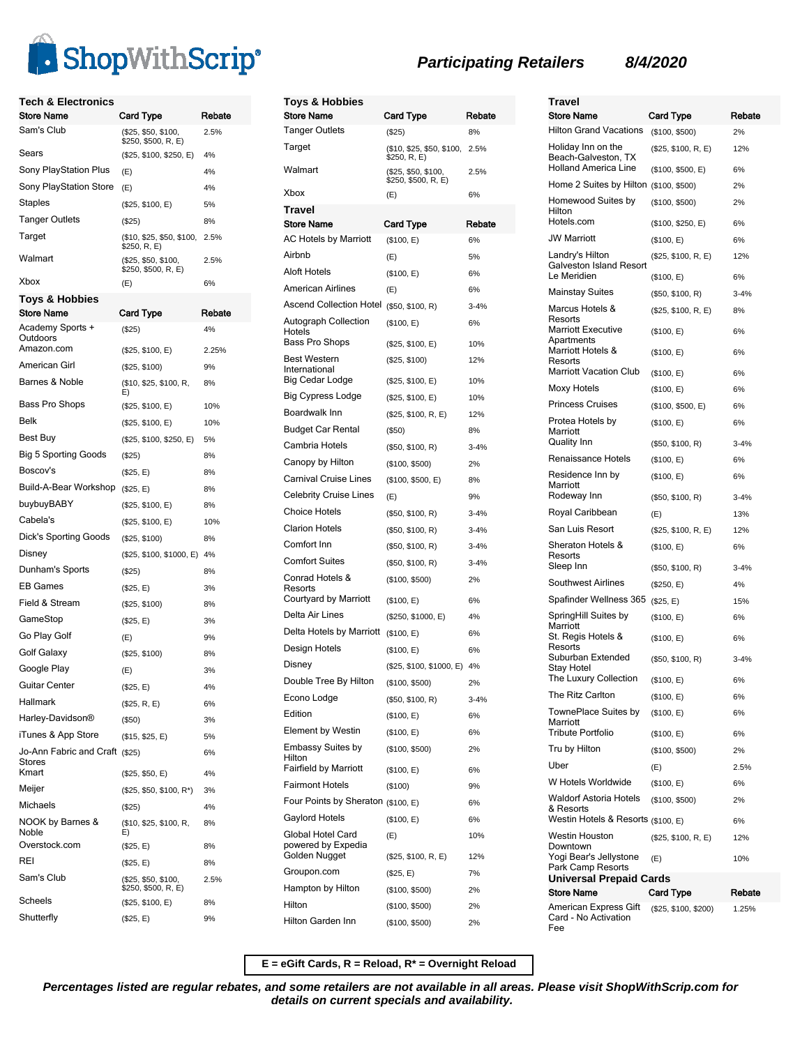

| <b>Tech &amp; Electronics</b>              |                                            |        |
|--------------------------------------------|--------------------------------------------|--------|
| <b>Store Name</b>                          | Card Type                                  | Rebate |
| Sam's Club                                 | (\$25, \$50, \$100,<br>\$250, \$500, R, E) | 2.5%   |
| Sears                                      | (\$25, \$100, \$250, E)                    | 4%     |
| Sony PlayStation Plus                      | (E)                                        | 4%     |
| <b>Sony PlayStation Store</b>              | (E)                                        | 4%     |
| Staples                                    | (\$25, \$100, E)                           | 5%     |
| Tanger Outlets                             | $($ \$25)                                  | 8%     |
| Target                                     | (\$10, \$25, \$50, \$100,<br>\$250, R, E)  | 2.5%   |
| Walmart                                    | (\$25, \$50, \$100,<br>\$250, \$500, R, E) | 2.5%   |
| Xbox                                       | (E)                                        | 6%     |
| Toys & Hobbies                             |                                            |        |
| <b>Store Name</b>                          | Card Type                                  | Rebate |
| Academy Sports +<br>Outdoors<br>Amazon.com | (\$25)                                     | 4%     |
| American Girl                              | (\$25, \$100, E)                           | 2.25%  |
| Barnes & Noble                             | (\$25, \$100)                              | 9%     |
|                                            | (\$10, \$25, \$100, R,<br>E)               | 8%     |
| Bass Pro Shops                             | (\$25, \$100, E)                           | 10%    |
| Belk                                       | (\$25, \$100, E)                           | 10%    |
| Best Buy                                   | (\$25, \$100, \$250, E)                    | 5%     |
| <b>Big 5 Sporting Goods</b>                | (\$25)                                     | 8%     |
| Boscov's                                   | (\$25, E)                                  | 8%     |
| Build-A-Bear Workshop                      | (\$25, E)                                  | 8%     |
| buybuyBABY                                 | (\$25, \$100, E)                           | 8%     |
| Cabela's                                   | (\$25, \$100, E)                           | 10%    |
| Dick's Sporting Goods                      | (\$25, \$100)                              | 8%     |
| Disney                                     | (\$25, \$100, \$1000, E)                   | 4%     |
| Dunham's Sports                            | (\$25)                                     | 8%     |
| <b>EB Games</b>                            | (\$25, E)                                  | 3%     |
| Field & Stream                             | (\$25, \$100)                              | 8%     |
| GameStop                                   | (\$25, E)                                  | 3%     |
| Go Play Golf                               | (E)                                        | 9%     |
| Golf Galaxy                                | (\$25, \$100)                              | 8%     |
| Google Play                                | (E)                                        | 3%     |
| Guitar Center                              | (\$25, E)                                  | 4%     |
| Hallmark                                   | (\$25, R, E)                               | 6%     |
| Harley-Davidson®                           | $($ \$50)                                  | 3%     |
| iTunes & App Store                         | (\$15, \$25, E)                            | 5%     |
| Jo-Ann Fabric and Craft (\$25)<br>Stores   |                                            | 6%     |
| Kmart                                      | (\$25, \$50, E)                            | 4%     |
| Meijer                                     | (\$25, \$50, \$100, R*)                    | 3%     |
| Michaels                                   | $(\$25)$                                   | 4%     |
| NOOK by Barnes &<br>Noble                  | (\$10, \$25, \$100, R,<br>E)               | 8%     |
| Overstock.com                              | (\$25, E)                                  | 8%     |
| REI                                        | (\$25, E)                                  | 8%     |
| Sam's Club                                 | (\$25, \$50, \$100,<br>\$250, \$500, R, E) | 2.5%   |
| Scheels                                    | (\$25, \$100, E)                           | 8%     |
| Shutterfly                                 | (\$25, E)                                  | 9%     |

| <b>Toys &amp; Hobbies</b>               |                                            |          |
|-----------------------------------------|--------------------------------------------|----------|
| <b>Store Name</b>                       | Card Type                                  | Rebate   |
| <b>Tanger Outlets</b>                   | $(\$25)$                                   | 8%       |
| Target                                  | (\$10, \$25, \$50, \$100,<br>\$250, R, E)  | 2.5%     |
| Walmart                                 | (\$25, \$50, \$100,<br>\$250, \$500, R, E) | 2.5%     |
| Xbox                                    | (E)                                        | 6%       |
| Travel<br><b>Store Name</b>             | Card Type                                  | Rebate   |
| <b>AC Hotels by Marriott</b>            | (\$100, E)                                 | 6%       |
| Airbnb                                  | (E)                                        | 5%       |
| <b>Aloft Hotels</b>                     | (\$100, E)                                 | 6%       |
| American Airlines                       | (E)                                        | 6%       |
| <b>Ascend Collection Hotel</b>          | (\$50, \$100, R)                           | $3 - 4%$ |
| Autograph Collection<br>Hotels          | (\$100, E)                                 | 6%       |
| Bass Pro Shops                          | (\$25, \$100, E)                           | 10%      |
| <b>Best Western</b><br>International    | (\$25, \$100)                              | 12%      |
| Big Cedar Lodge                         | (\$25, \$100, E)                           | 10%      |
| <b>Big Cypress Lodge</b>                | (\$25, \$100, E)                           | 10%      |
| Boardwalk Inn                           | (\$25, \$100, R, E)                        | 12%      |
| <b>Budget Car Rental</b>                | (\$50)                                     | 8%       |
| Cambria Hotels                          | (\$50, \$100, R)                           | $3 - 4%$ |
| Canopy by Hilton                        | (\$100, \$500)                             | 2%       |
| Carnival Cruise Lines                   | (\$100, \$500, E)                          | 8%       |
| <b>Celebrity Cruise Lines</b>           | (E)                                        | 9%       |
| <b>Choice Hotels</b>                    | (\$50, \$100, R)                           | $3 - 4%$ |
| <b>Clarion Hotels</b>                   | (\$50, \$100, R)                           | $3 - 4%$ |
| Comfort Inn                             | (\$50, \$100, R)                           | $3 - 4%$ |
| <b>Comfort Suites</b>                   | (\$50, \$100, R)                           | $3 - 4%$ |
| Conrad Hotels &                         | (\$100, \$500)                             | 2%       |
| Resorts<br>Courtyard by Marriott        | (\$100, E)                                 | 6%       |
| Delta Air Lines                         | (\$250, \$1000, E)                         | 4%       |
| Delta Hotels by Marriott                | (\$100, E)                                 | 6%       |
| Design Hotels                           | (\$100, E)                                 | 6%       |
| Disney                                  | (\$25, \$100, \$1000, E)                   | 4%       |
| Double Tree By Hilton                   | (\$100, \$500)                             | 2%       |
| Econo Lodge                             | (\$50, \$100, R)                           | $3 - 4%$ |
| Edition                                 | (\$100, E)                                 | 6%       |
| Element by Westin                       | (\$100, E)                                 | 6%       |
| <b>Embassy Suites by</b><br>Hilton      | (\$100, \$500)                             | 2%       |
| <b>Fairfield by Marriott</b>            | (\$100, E)                                 | 6%       |
| <b>Fairmont Hotels</b>                  | (\$100)                                    | 9%       |
| Four Points by Sheraton (\$100, E)      |                                            | 6%       |
| Gaylord Hotels                          | (\$100, E)                                 | 6%       |
| Global Hotel Card<br>powered by Expedia | (E)                                        | 10%      |
| Golden Nugget                           | (\$25, \$100, R, E)                        | 12%      |
| Groupon.com                             | (\$25, E)                                  | 7%       |
| Hampton by Hilton                       | (\$100, \$500)                             | 2%       |
| Hilton                                  | (\$100, \$500)                             | 2%       |
| Hilton Garden Inn                       | (\$100, \$500)                             | 2%       |

| Travel<br><b>Store Name</b>                               | Card Type                         | Rebate         |  |
|-----------------------------------------------------------|-----------------------------------|----------------|--|
| <b>Hilton Grand Vacations</b>                             | (\$100, \$500)                    | 2%             |  |
| Holiday Inn on the<br>Beach-Galveston, TX                 | (\$25, \$100, R, E)               | 12%            |  |
| <b>Holland America Line</b>                               | (\$100, \$500, E)                 | 6%             |  |
| Home 2 Suites by Hilton (\$100, \$500)                    |                                   | 2%             |  |
| Homewood Suites by<br>Hilton<br>Hotels.com                | (\$100, \$500)                    | 2%<br>6%       |  |
| <b>JW Marriott</b>                                        | (\$100, \$250, E)                 |                |  |
|                                                           | (\$100, E)                        | 6%             |  |
| Landry's Hilton<br>Galveston Island Resort<br>Le Meridien | (\$25, \$100, R, E)<br>(\$100, E) | 12%<br>6%      |  |
| <b>Mainstay Suites</b>                                    | (\$50, \$100, R)                  | $3 - 4%$       |  |
| Marcus Hotels &                                           |                                   |                |  |
| Resorts<br><b>Marriott Executive</b>                      | (\$25, \$100, R, E)<br>(\$100, E) | 8%<br>6%       |  |
| Apartments<br>Marriott Hotels &                           | (\$100, E)                        | 6%             |  |
| Resorts<br><b>Marriott Vacation Club</b>                  | (\$100, E)                        | 6%             |  |
| Moxy Hotels                                               | (\$100, E)                        | 6%             |  |
| <b>Princess Cruises</b>                                   | (\$100, \$500, E)                 | 6%             |  |
| Protea Hotels by                                          |                                   |                |  |
| Marriott<br><b>Quality Inn</b>                            | (\$100, E)<br>(\$50, \$100, R)    | 6%<br>$3 - 4%$ |  |
| Renaissance Hotels                                        | (\$100, E)                        | 6%             |  |
| Residence Inn by                                          |                                   | 6%             |  |
| Marriott<br>Rodeway Inn                                   | (\$100, E)<br>(\$50, \$100, R)    | $3 - 4%$       |  |
| Royal Caribbean                                           | (E)                               | 13%            |  |
| San Luis Resort                                           | (\$25, \$100, R, E)               | 12%            |  |
| Sheraton Hotels &                                         | (\$100, E)                        | 6%             |  |
| Resorts<br>Sleep Inn                                      | (\$50, \$100, R)                  | $3 - 4%$       |  |
| <b>Southwest Airlines</b>                                 | (\$250, E)                        | 4%             |  |
| Spafinder Wellness 365 (\$25, E)                          |                                   | 15%            |  |
| SpringHill Suites by<br>Marriott                          | (\$100, E)                        | 6%             |  |
| St. Regis Hotels &                                        | (\$100, E)                        | 6%             |  |
| Resorts<br>Suburban Extended<br>Stay Hotel                | (\$50, \$100, R)                  | $3 - 4%$       |  |
| The Luxury Collection                                     | (\$100, E)                        | 6%             |  |
| The Ritz Carlton                                          | (\$100, E)                        | 6%             |  |
| TownePlace Suites by<br>Marriott                          | (\$100, E)                        | 6%             |  |
| Tribute Portfolio                                         | (\$100, E)                        | 6%             |  |
| Tru by Hilton                                             | (\$100, \$500)                    | 2%             |  |
| Uber                                                      | (E)                               | 2.5%           |  |
| W Hotels Worldwide                                        | (\$100, E)                        | 6%             |  |
| Waldorf Astoria Hotels<br>& Resorts                       | (\$100, \$500)                    | 2%             |  |
| Westin Hotels & Resorts (\$100, E)                        |                                   | 6%             |  |
| Westin Houston<br>Downtown                                | (\$25, \$100, R, E)               | 12%            |  |
| Yogi Bear's Jellystone<br>Park Camp Resorts               | (E)                               | 10%            |  |
| Universal Prepaid Cards                                   |                                   |                |  |
| <b>Store Name</b>                                         | Card Type                         | Rebate         |  |
| American Express Gift<br>Card - No Activation<br>Fee      | (\$25, \$100, \$200)              | 1.25%          |  |

**E = eGift Cards, R = Reload, R\* = Overnight Reload**